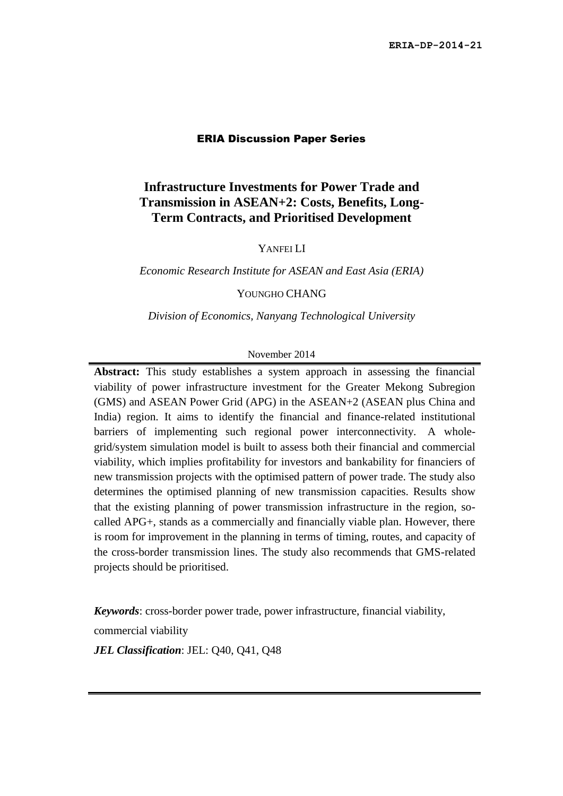#### ERIA Discussion Paper Series

### **Infrastructure Investments for Power Trade and Transmission in ASEAN+2: Costs, Benefits, Long-Term Contracts, and Prioritised Development**

YANFEI LI

*Economic Research Institute for ASEAN and East Asia (ERIA)*

#### YOUNGHO CHANG

*Division of Economics, Nanyang Technological University*

#### November 2014

**Abstract:** This study establishes a system approach in assessing the financial viability of power infrastructure investment for the Greater Mekong Subregion (GMS) and ASEAN Power Grid (APG) in the ASEAN+2 (ASEAN plus China and India) region. It aims to identify the financial and finance-related institutional barriers of implementing such regional power interconnectivity. A wholegrid/system simulation model is built to assess both their financial and commercial viability, which implies profitability for investors and bankability for financiers of new transmission projects with the optimised pattern of power trade. The study also determines the optimised planning of new transmission capacities. Results show that the existing planning of power transmission infrastructure in the region, socalled APG+, stands as a commercially and financially viable plan. However, there is room for improvement in the planning in terms of timing, routes, and capacity of the cross-border transmission lines. The study also recommends that GMS-related projects should be prioritised.

*Keywords*: cross-border power trade, power infrastructure, financial viability,

commercial viability

*JEL Classification*: JEL: Q40, Q41, Q48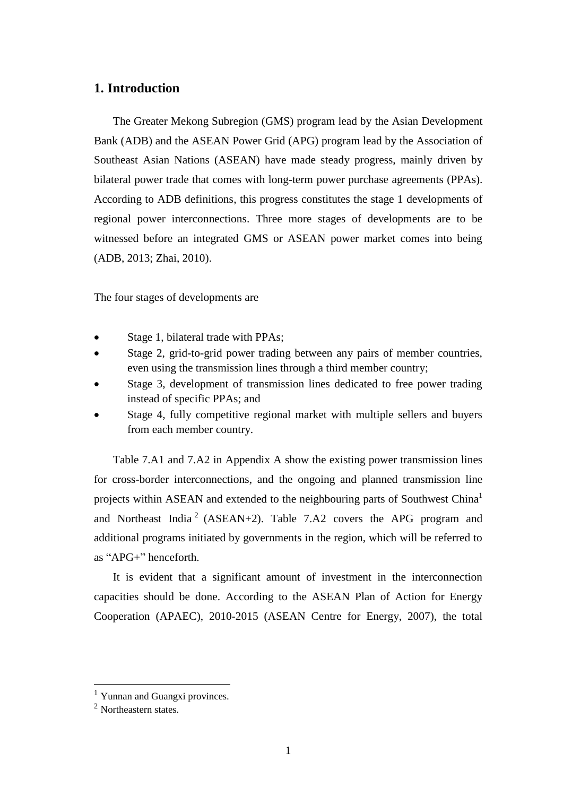### **1. Introduction**

The Greater Mekong Subregion (GMS) program lead by the Asian Development Bank (ADB) and the ASEAN Power Grid (APG) program lead by the Association of Southeast Asian Nations (ASEAN) have made steady progress, mainly driven by bilateral power trade that comes with long-term power purchase agreements (PPAs). According to ADB definitions, this progress constitutes the stage 1 developments of regional power interconnections. Three more stages of developments are to be witnessed before an integrated GMS or ASEAN power market comes into being (ADB, 2013; Zhai, 2010).

The four stages of developments are

- Stage 1, bilateral trade with PPAs;
- Stage 2, grid-to-grid power trading between any pairs of member countries, even using the transmission lines through a third member country;
- Stage 3, development of transmission lines dedicated to free power trading instead of specific PPAs; and
- Stage 4, fully competitive regional market with multiple sellers and buyers from each member country.

Table 7.A1 and 7.A2 in Appendix A show the existing power transmission lines for cross-border interconnections, and the ongoing and planned transmission line projects within ASEAN and extended to the neighbouring parts of Southwest China<sup>1</sup> and Northeast India<sup>2</sup> (ASEAN+2). Table 7.A2 covers the APG program and additional programs initiated by governments in the region, which will be referred to as "APG+" henceforth.

It is evident that a significant amount of investment in the interconnection capacities should be done. According to the ASEAN Plan of Action for Energy Cooperation (APAEC), 2010-2015 (ASEAN Centre for Energy, 2007), the total

1

<sup>&</sup>lt;sup>1</sup> Yunnan and Guangxi provinces.

<sup>2</sup> Northeastern states.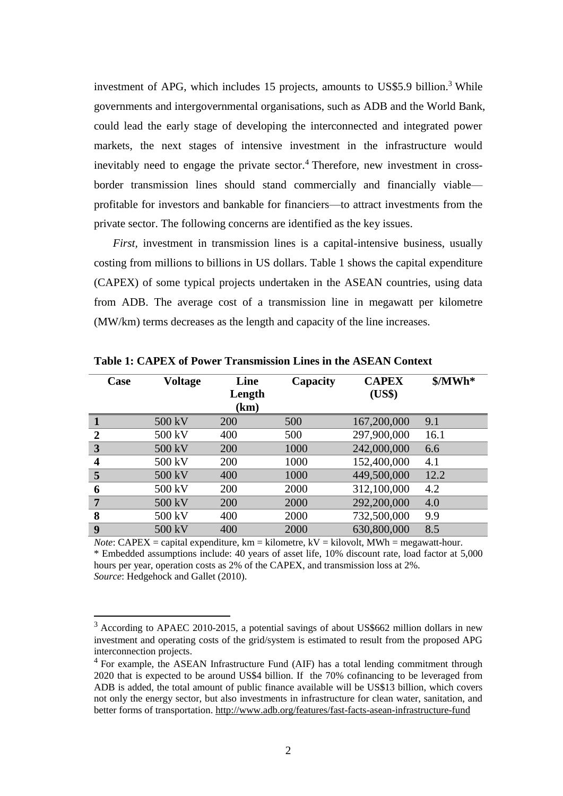investment of APG, which includes 15 projects, amounts to US\$5.9 billion. <sup>3</sup> While governments and intergovernmental organisations, such as ADB and the World Bank, could lead the early stage of developing the interconnected and integrated power markets, the next stages of intensive investment in the infrastructure would inevitably need to engage the private sector. <sup>4</sup> Therefore, new investment in crossborder transmission lines should stand commercially and financially viable profitable for investors and bankable for financiers—to attract investments from the private sector. The following concerns are identified as the key issues.

*First,* investment in transmission lines is a capital-intensive business, usually costing from millions to billions in US dollars. Table 1 shows the capital expenditure (CAPEX) of some typical projects undertaken in the ASEAN countries, using data from ADB. The average cost of a transmission line in megawatt per kilometre (MW/km) terms decreases as the length and capacity of the line increases.

| Case                    | <b>Voltage</b> | Line<br>Length<br>(km) | Capacity | <b>CAPEX</b><br>(US\$) | $MWh^*$ |
|-------------------------|----------------|------------------------|----------|------------------------|---------|
|                         | 500 kV         | 200                    | 500      | 167,200,000            | 9.1     |
| $\overline{2}$          | 500 kV         | 400                    | 500      | 297,900,000            | 16.1    |
| 3                       | 500 kV         | 200                    | 1000     | 242,000,000            | 6.6     |
| $\overline{\mathbf{4}}$ | 500 kV         | 200                    | 1000     | 152,400,000            | 4.1     |
| 5                       | 500 kV         | 400                    | 1000     | 449,500,000            | 12.2    |
| 6                       | 500 kV         | 200                    | 2000     | 312,100,000            | 4.2     |
| $\overline{7}$          | 500 kV         | 200                    | 2000     | 292,200,000            | 4.0     |
| 8                       | 500 kV         | 400                    | 2000     | 732,500,000            | 9.9     |
| 9                       | 500 kV         | 400                    | 2000     | 630,800,000            | 8.5     |

**Table 1: CAPEX of Power Transmission Lines in the ASEAN Context**

*Note*: CAPEX = capital expenditure,  $km = kilometer$ ,  $kV = kilovolt$ ,  $MWh = megawatt-hour$ . \* Embedded assumptions include: 40 years of asset life, 10% discount rate, load factor at 5,000 hours per year, operation costs as 2% of the CAPEX, and transmission loss at 2%. *Source*: Hedgehock and Gallet (2010).

1

<sup>3</sup> According to APAEC 2010-2015, a potential savings of about US\$662 million dollars in new investment and operating costs of the grid/system is estimated to result from the proposed APG interconnection projects.

<sup>&</sup>lt;sup>4</sup> For example, the ASEAN Infrastructure Fund (AIF) has a total lending commitment through 2020 that is expected to be around US\$4 billion. If the 70% cofinancing to be leveraged from ADB is added, the total amount of public finance available will be US\$13 billion, which covers not only the energy sector, but also investments in infrastructure for clean water, sanitation, and better forms of transportation.<http://www.adb.org/features/fast-facts-asean-infrastructure-fund>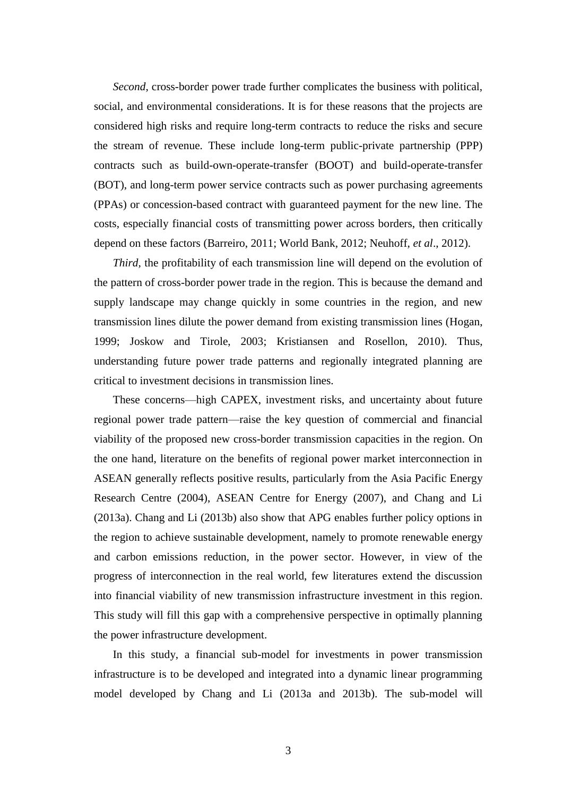*Second*, cross-border power trade further complicates the business with political, social, and environmental considerations. It is for these reasons that the projects are considered high risks and require long-term contracts to reduce the risks and secure the stream of revenue. These include long-term public-private partnership (PPP) contracts such as build-own-operate-transfer (BOOT) and build-operate-transfer (BOT), and long-term power service contracts such as power purchasing agreements (PPAs) or concession-based contract with guaranteed payment for the new line. The costs, especially financial costs of transmitting power across borders, then critically depend on these factors (Barreiro, 2011; World Bank, 2012; Neuhoff, *et al*., 2012).

*Third,* the profitability of each transmission line will depend on the evolution of the pattern of cross-border power trade in the region. This is because the demand and supply landscape may change quickly in some countries in the region, and new transmission lines dilute the power demand from existing transmission lines (Hogan, 1999; Joskow and Tirole, 2003; Kristiansen and Rosellon, 2010). Thus, understanding future power trade patterns and regionally integrated planning are critical to investment decisions in transmission lines.

These concerns—high CAPEX, investment risks, and uncertainty about future regional power trade pattern—raise the key question of commercial and financial viability of the proposed new cross-border transmission capacities in the region. On the one hand, literature on the benefits of regional power market interconnection in ASEAN generally reflects positive results, particularly from the Asia Pacific Energy Research Centre (2004), ASEAN Centre for Energy (2007), and Chang and Li (2013a). Chang and Li (2013b) also show that APG enables further policy options in the region to achieve sustainable development, namely to promote renewable energy and carbon emissions reduction, in the power sector. However, in view of the progress of interconnection in the real world, few literatures extend the discussion into financial viability of new transmission infrastructure investment in this region. This study will fill this gap with a comprehensive perspective in optimally planning the power infrastructure development.

In this study, a financial sub-model for investments in power transmission infrastructure is to be developed and integrated into a dynamic linear programming model developed by Chang and Li (2013a and 2013b). The sub-model will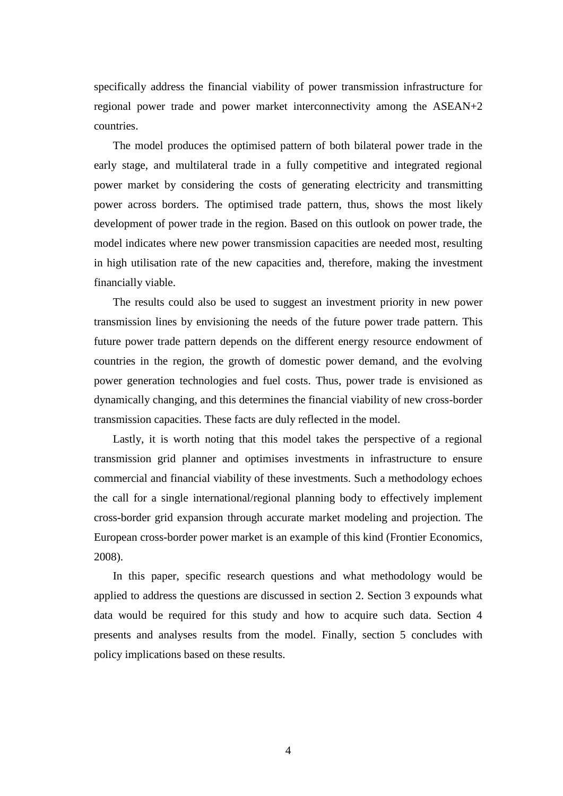specifically address the financial viability of power transmission infrastructure for regional power trade and power market interconnectivity among the ASEAN+2 countries.

The model produces the optimised pattern of both bilateral power trade in the early stage, and multilateral trade in a fully competitive and integrated regional power market by considering the costs of generating electricity and transmitting power across borders. The optimised trade pattern, thus, shows the most likely development of power trade in the region. Based on this outlook on power trade, the model indicates where new power transmission capacities are needed most, resulting in high utilisation rate of the new capacities and, therefore, making the investment financially viable.

The results could also be used to suggest an investment priority in new power transmission lines by envisioning the needs of the future power trade pattern. This future power trade pattern depends on the different energy resource endowment of countries in the region, the growth of domestic power demand, and the evolving power generation technologies and fuel costs. Thus, power trade is envisioned as dynamically changing, and this determines the financial viability of new cross-border transmission capacities. These facts are duly reflected in the model.

Lastly, it is worth noting that this model takes the perspective of a regional transmission grid planner and optimises investments in infrastructure to ensure commercial and financial viability of these investments. Such a methodology echoes the call for a single international/regional planning body to effectively implement cross-border grid expansion through accurate market modeling and projection. The European cross-border power market is an example of this kind (Frontier Economics, 2008).

In this paper, specific research questions and what methodology would be applied to address the questions are discussed in section 2. Section 3 expounds what data would be required for this study and how to acquire such data. Section 4 presents and analyses results from the model. Finally, section 5 concludes with policy implications based on these results.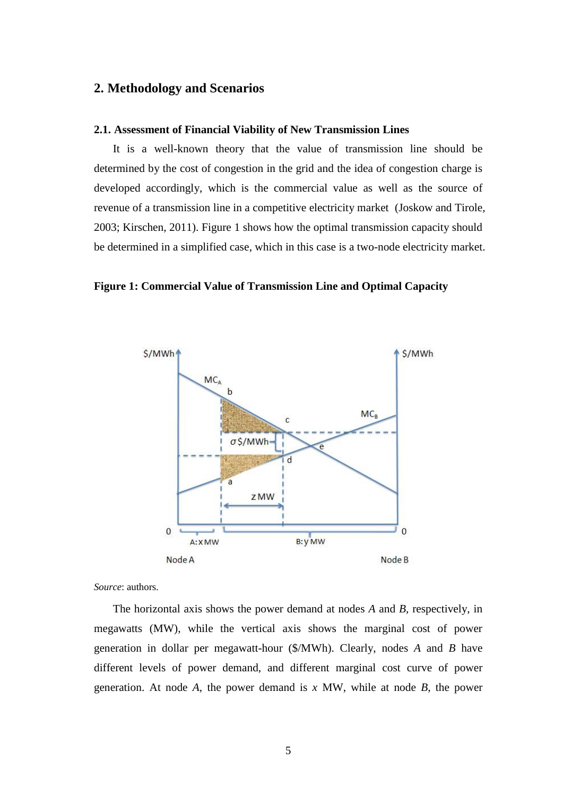### **2. Methodology and Scenarios**

### **2.1. Assessment of Financial Viability of New Transmission Lines**

It is a well-known theory that the value of transmission line should be determined by the cost of congestion in the grid and the idea of congestion charge is developed accordingly, which is the commercial value as well as the source of revenue of a transmission line in a competitive electricity market (Joskow and Tirole, 2003; Kirschen, 2011). Figure 1 shows how the optimal transmission capacity should be determined in a simplified case, which in this case is a two-node electricity market.

#### **Figure 1: Commercial Value of Transmission Line and Optimal Capacity**



*Source*: authors.

The horizontal axis shows the power demand at nodes *A* and *B,* respectively, in megawatts (MW), while the vertical axis shows the marginal cost of power generation in dollar per megawatt-hour (\$/MWh). Clearly, nodes *A* and *B* have different levels of power demand, and different marginal cost curve of power generation. At node *A*, the power demand is *x* MW, while at node *B*, the power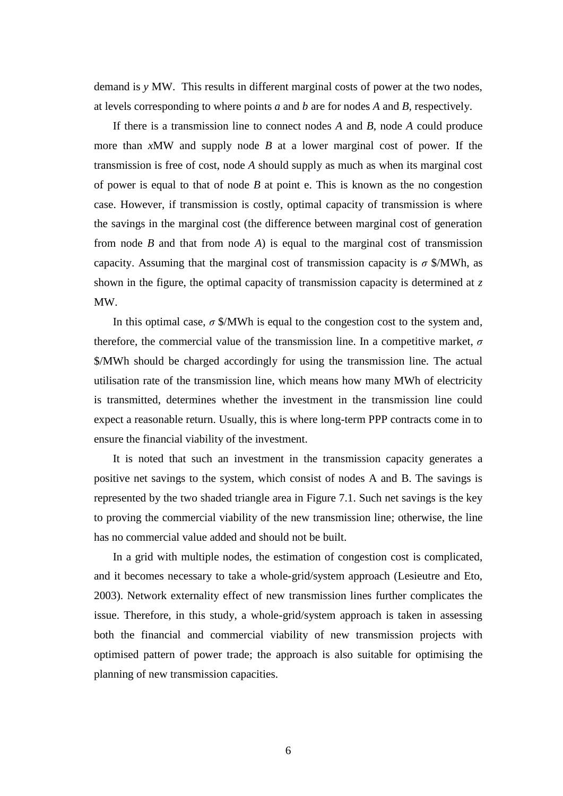demand is *y* MW. This results in different marginal costs of power at the two nodes, at levels corresponding to where points *a* and *b* are for nodes *A* and *B,* respectively.

If there is a transmission line to connect nodes *A* and *B*, node *A* could produce more than *x*MW and supply node *B* at a lower marginal cost of power. If the transmission is free of cost, node *A* should supply as much as when its marginal cost of power is equal to that of node *B* at point e. This is known as the no congestion case. However, if transmission is costly, optimal capacity of transmission is where the savings in the marginal cost (the difference between marginal cost of generation from node *B* and that from node *A*) is equal to the marginal cost of transmission capacity. Assuming that the marginal cost of transmission capacity is  $\sigma$  \$/MWh, as shown in the figure, the optimal capacity of transmission capacity is determined at *z* MW.

In this optimal case,  $\sigma$  \$/MWh is equal to the congestion cost to the system and, therefore, the commercial value of the transmission line. In a competitive market, *σ* \$/MWh should be charged accordingly for using the transmission line. The actual utilisation rate of the transmission line, which means how many MWh of electricity is transmitted, determines whether the investment in the transmission line could expect a reasonable return. Usually, this is where long-term PPP contracts come in to ensure the financial viability of the investment.

It is noted that such an investment in the transmission capacity generates a positive net savings to the system, which consist of nodes A and B. The savings is represented by the two shaded triangle area in Figure 7.1. Such net savings is the key to proving the commercial viability of the new transmission line; otherwise, the line has no commercial value added and should not be built.

In a grid with multiple nodes, the estimation of congestion cost is complicated, and it becomes necessary to take a whole-grid/system approach (Lesieutre and Eto, 2003). Network externality effect of new transmission lines further complicates the issue. Therefore, in this study, a whole-grid/system approach is taken in assessing both the financial and commercial viability of new transmission projects with optimised pattern of power trade; the approach is also suitable for optimising the planning of new transmission capacities.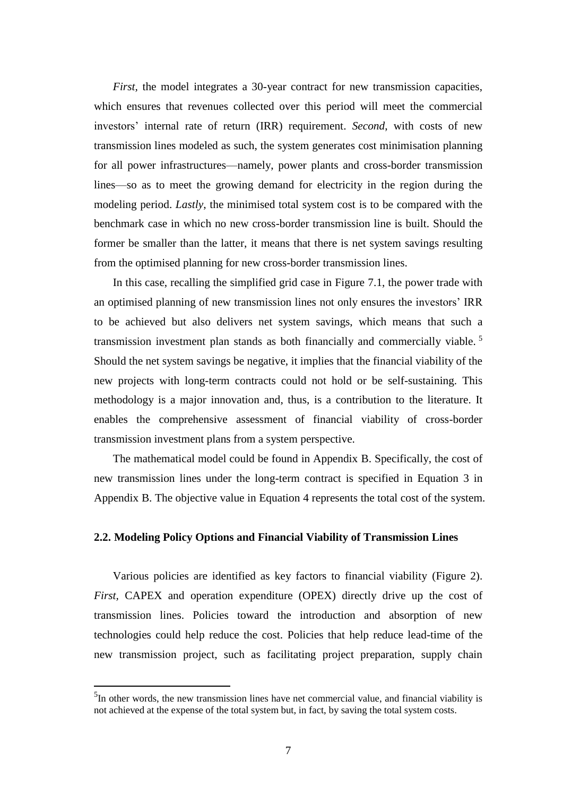*First,* the model integrates a 30-year contract for new transmission capacities, which ensures that revenues collected over this period will meet the commercial investors' internal rate of return (IRR) requirement. *Second*, with costs of new transmission lines modeled as such, the system generates cost minimisation planning for all power infrastructures—namely, power plants and cross-border transmission lines—so as to meet the growing demand for electricity in the region during the modeling period. *Lastly*, the minimised total system cost is to be compared with the benchmark case in which no new cross-border transmission line is built. Should the former be smaller than the latter, it means that there is net system savings resulting from the optimised planning for new cross-border transmission lines.

In this case, recalling the simplified grid case in Figure 7.1, the power trade with an optimised planning of new transmission lines not only ensures the investors' IRR to be achieved but also delivers net system savings, which means that such a transmission investment plan stands as both financially and commercially viable. 5 Should the net system savings be negative, it implies that the financial viability of the new projects with long-term contracts could not hold or be self-sustaining. This methodology is a major innovation and, thus, is a contribution to the literature. It enables the comprehensive assessment of financial viability of cross-border transmission investment plans from a system perspective.

The mathematical model could be found in Appendix B. Specifically, the cost of new transmission lines under the long-term contract is specified in Equation 3 in Appendix B. The objective value in Equation 4 represents the total cost of the system.

### **2.2. Modeling Policy Options and Financial Viability of Transmission Lines**

Various policies are identified as key factors to financial viability (Figure 2). *First,* CAPEX and operation expenditure (OPEX) directly drive up the cost of transmission lines. Policies toward the introduction and absorption of new technologies could help reduce the cost. Policies that help reduce lead-time of the new transmission project, such as facilitating project preparation, supply chain

**.** 

 $<sup>5</sup>$ In other words, the new transmission lines have net commercial value, and financial viability is</sup> not achieved at the expense of the total system but, in fact, by saving the total system costs.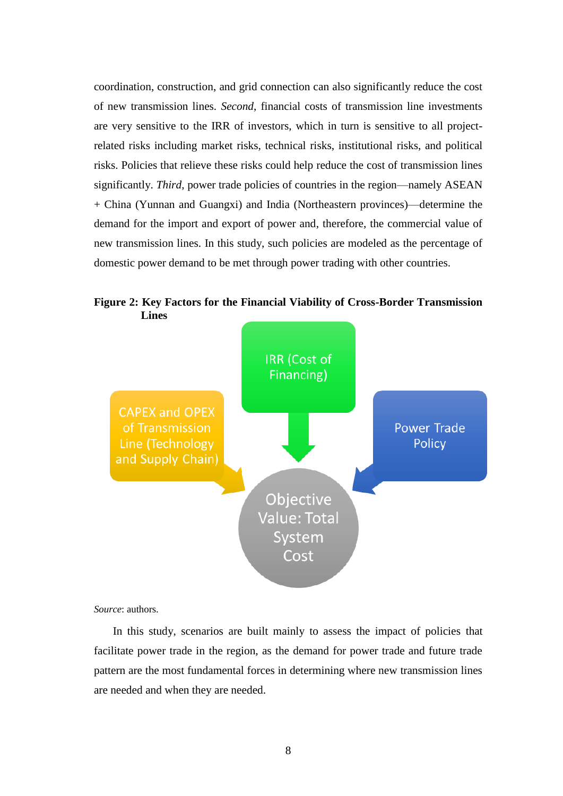coordination, construction, and grid connection can also significantly reduce the cost of new transmission lines. *Second*, financial costs of transmission line investments are very sensitive to the IRR of investors, which in turn is sensitive to all projectrelated risks including market risks, technical risks, institutional risks, and political risks. Policies that relieve these risks could help reduce the cost of transmission lines significantly. *Third*, power trade policies of countries in the region—namely ASEAN + China (Yunnan and Guangxi) and India (Northeastern provinces)—determine the demand for the import and export of power and, therefore, the commercial value of new transmission lines. In this study, such policies are modeled as the percentage of domestic power demand to be met through power trading with other countries.

**Figure 2: Key Factors for the Financial Viability of Cross-Border Transmission Lines**



*Source*: authors.

In this study, scenarios are built mainly to assess the impact of policies that facilitate power trade in the region, as the demand for power trade and future trade pattern are the most fundamental forces in determining where new transmission lines are needed and when they are needed.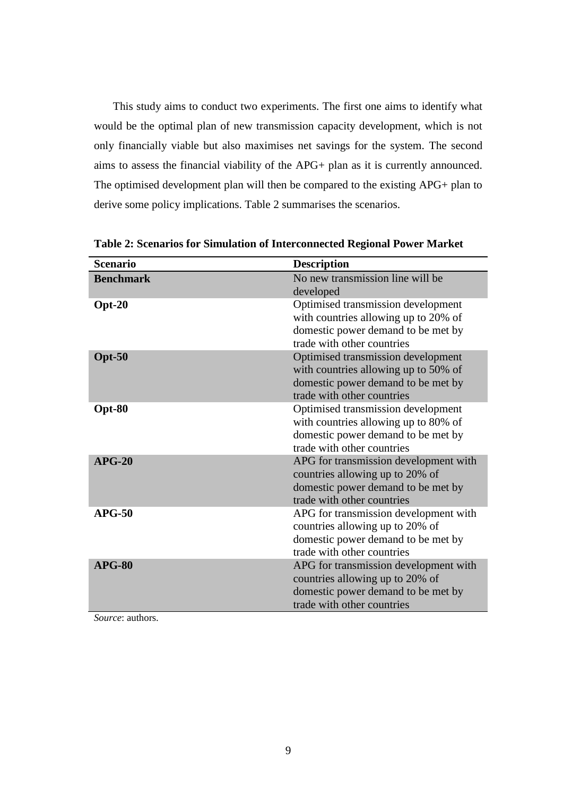This study aims to conduct two experiments. The first one aims to identify what would be the optimal plan of new transmission capacity development, which is not only financially viable but also maximises net savings for the system. The second aims to assess the financial viability of the APG+ plan as it is currently announced. The optimised development plan will then be compared to the existing APG+ plan to derive some policy implications. Table 2 summarises the scenarios.

| <b>Scenario</b>  | <b>Description</b>                                                         |
|------------------|----------------------------------------------------------------------------|
| <b>Benchmark</b> | No new transmission line will be                                           |
|                  | developed                                                                  |
| $Opt-20$         | Optimised transmission development<br>with countries allowing up to 20% of |
|                  | domestic power demand to be met by                                         |
|                  | trade with other countries                                                 |
| $Opt-50$         | Optimised transmission development                                         |
|                  | with countries allowing up to 50% of                                       |
|                  | domestic power demand to be met by                                         |
|                  | trade with other countries                                                 |
| Opt-80           | Optimised transmission development                                         |
|                  | with countries allowing up to 80% of                                       |
|                  | domestic power demand to be met by                                         |
|                  | trade with other countries                                                 |
| $APG-20$         | APG for transmission development with                                      |
|                  | countries allowing up to 20% of<br>domestic power demand to be met by      |
|                  | trade with other countries                                                 |
| $APG-50$         | APG for transmission development with                                      |
|                  | countries allowing up to 20% of                                            |
|                  | domestic power demand to be met by                                         |
|                  | trade with other countries                                                 |
| $APG-80$         | APG for transmission development with                                      |
|                  | countries allowing up to 20% of                                            |
|                  | domestic power demand to be met by                                         |
|                  | trade with other countries                                                 |

**Table 2: Scenarios for Simulation of Interconnected Regional Power Market**

*Source*: authors.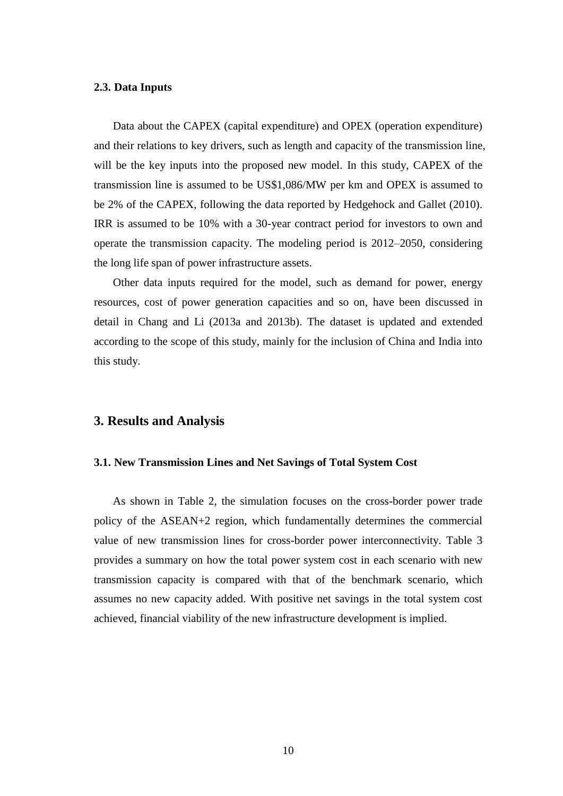#### **2.3. Data Inputs**

Data about the CAPEX (capital expenditure) and OPEX (operation expenditure) and their relations to key drivers, such as length and capacity of the transmission line, will be the key inputs into the proposed new model. In this study, CAPEX of the transmission line is assumed to be US\$1,086/MW per km and OPEX is assumed to be 2% of the CAPEX, following the data reported by Hedgehock and Gallet (2010). IRR is assumed to be 10% with a 30-year contract period for investors to own and operate the transmission capacity. The modeling period is 2012–2050, considering the long life span of power infrastructure assets.

Other data inputs required for the model, such as demand for power, energy resources, cost of power generation capacities and so on, have been discussed in detail in Chang and Li (2013a and 2013b). The dataset is updated and extended according to the scope of this study, mainly for the inclusion of China and India into this study.

### **3. Results and Analysis**

#### **3.1. New Transmission Lines and Net Savings of Total System Cost**

As shown in Table 2, the simulation focuses on the cross-border power trade policy of the ASEAN+2 region, which fundamentally determines the commercial value of new transmission lines for cross-border power interconnectivity. Table 3 provides a summary on how the total power system cost in each scenario with new transmission capacity is compared with that of the benchmark scenario, which assumes no new capacity added. With positive net savings in the total system cost achieved, financial viability of the new infrastructure development is implied.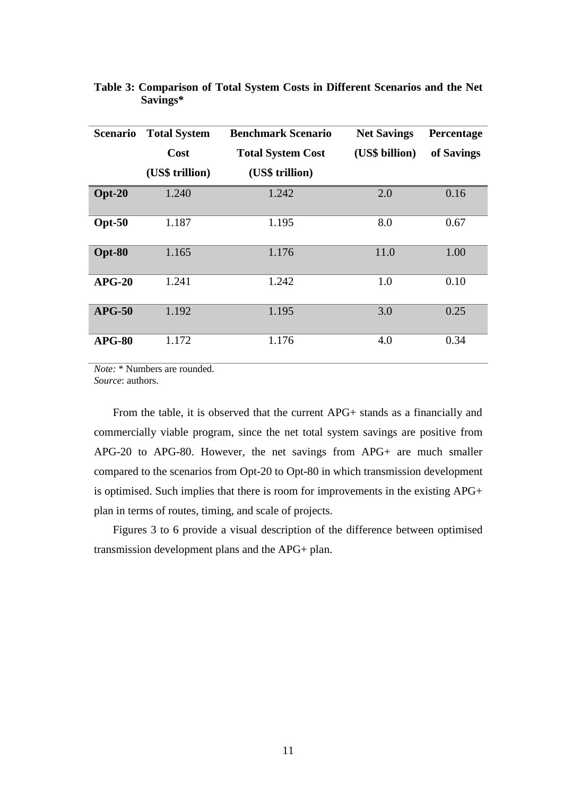| <b>Scenario</b> | <b>Total System</b> | <b>Benchmark Scenario</b> | <b>Net Savings</b> | Percentage |
|-----------------|---------------------|---------------------------|--------------------|------------|
|                 | Cost                | <b>Total System Cost</b>  | (US\$ billion)     | of Savings |
|                 | (US\$ trillion)     | (US\$ trillion)           |                    |            |
| $Opt-20$        | 1.240               | 1.242                     | 2.0                | 0.16       |
| $Opt-50$        | 1.187               | 1.195                     | 8.0                | 0.67       |
| Opt-80          | 1.165               | 1.176                     | 11.0               | 1.00       |
| $APG-20$        | 1.241               | 1.242                     | 1.0                | 0.10       |
| $APG-50$        | 1.192               | 1.195                     | 3.0                | 0.25       |
| $APG-80$        | 1.172               | 1.176                     | 4.0                | 0.34       |

### **Table 3: Comparison of Total System Costs in Different Scenarios and the Net Savings\***

*Note:* \* Numbers are rounded.

*Source*: authors.

From the table, it is observed that the current APG+ stands as a financially and commercially viable program, since the net total system savings are positive from APG-20 to APG-80. However, the net savings from APG+ are much smaller compared to the scenarios from Opt-20 to Opt-80 in which transmission development is optimised. Such implies that there is room for improvements in the existing APG+ plan in terms of routes, timing, and scale of projects.

Figures 3 to 6 provide a visual description of the difference between optimised transmission development plans and the APG+ plan.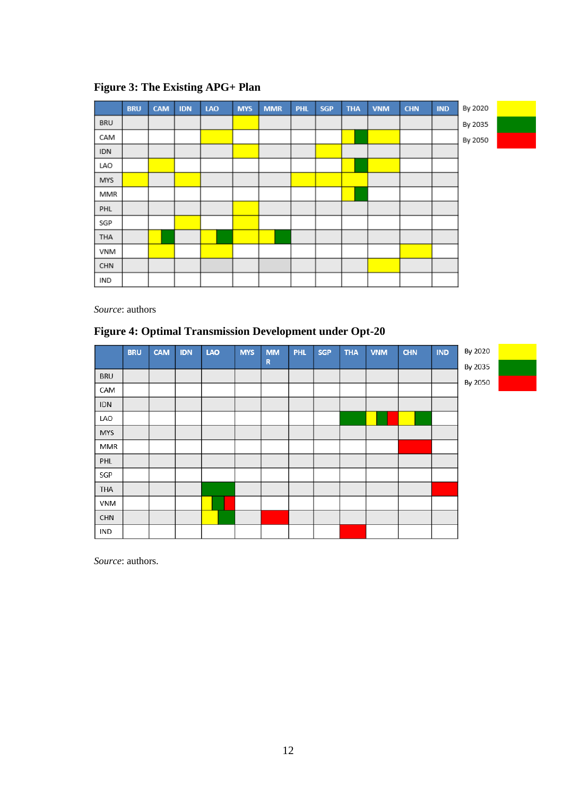

### **Figure 3: The Existing APG+ Plan**

*Source*: authors

### **Figure 4: Optimal Transmission Development under Opt-20**

|            | <b>BRU</b> | <b>CAM</b> | <b>IDN</b> | LAO | <b>MYS</b> | <b>MM</b>   | <b>PHL</b> | <b>SGP</b> | <b>THA</b> | <b>VNM</b> | <b>CHN</b> | IND | By 2020 |  |
|------------|------------|------------|------------|-----|------------|-------------|------------|------------|------------|------------|------------|-----|---------|--|
|            |            |            |            |     |            | $\mathbf R$ |            |            |            |            |            |     | By 2035 |  |
| <b>BRU</b> |            |            |            |     |            |             |            |            |            |            |            |     | By 2050 |  |
| CAM        |            |            |            |     |            |             |            |            |            |            |            |     |         |  |
| <b>IDN</b> |            |            |            |     |            |             |            |            |            |            |            |     |         |  |
| LAO        |            |            |            |     |            |             |            |            |            |            |            |     |         |  |
| <b>MYS</b> |            |            |            |     |            |             |            |            |            |            |            |     |         |  |
| MMR        |            |            |            |     |            |             |            |            |            |            |            |     |         |  |
| PHL        |            |            |            |     |            |             |            |            |            |            |            |     |         |  |
| SGP        |            |            |            |     |            |             |            |            |            |            |            |     |         |  |
| THA        |            |            |            |     |            |             |            |            |            |            |            |     |         |  |
| VNM        |            |            |            |     |            |             |            |            |            |            |            |     |         |  |
| <b>CHN</b> |            |            |            |     |            |             |            |            |            |            |            |     |         |  |
| IND        |            |            |            |     |            |             |            |            |            |            |            |     |         |  |

*Source*: authors.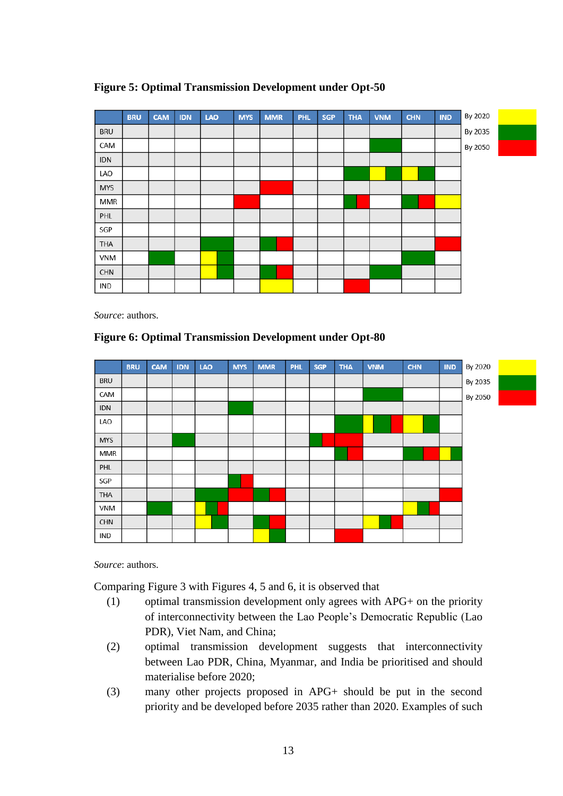

### **Figure 5: Optimal Transmission Development under Opt-50**

*Source*: authors.

### **Figure 6: Optimal Transmission Development under Opt-80**



*Source*: authors.

Comparing Figure 3 with Figures 4, 5 and 6, it is observed that

- (1) optimal transmission development only agrees with APG+ on the priority of interconnectivity between the Lao People's Democratic Republic (Lao PDR), Viet Nam, and China;
- (2) optimal transmission development suggests that interconnectivity between Lao PDR, China, Myanmar, and India be prioritised and should materialise before 2020;
- (3) many other projects proposed in APG+ should be put in the second priority and be developed before 2035 rather than 2020. Examples of such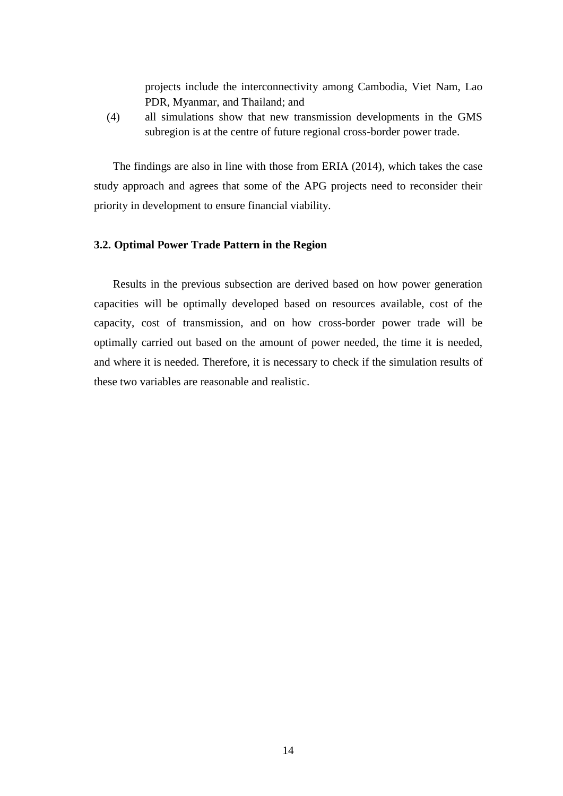projects include the interconnectivity among Cambodia, Viet Nam, Lao PDR, Myanmar, and Thailand; and

(4) all simulations show that new transmission developments in the GMS subregion is at the centre of future regional cross-border power trade.

The findings are also in line with those from ERIA (2014), which takes the case study approach and agrees that some of the APG projects need to reconsider their priority in development to ensure financial viability.

### **3.2. Optimal Power Trade Pattern in the Region**

Results in the previous subsection are derived based on how power generation capacities will be optimally developed based on resources available, cost of the capacity, cost of transmission, and on how cross-border power trade will be optimally carried out based on the amount of power needed, the time it is needed, and where it is needed. Therefore, it is necessary to check if the simulation results of these two variables are reasonable and realistic.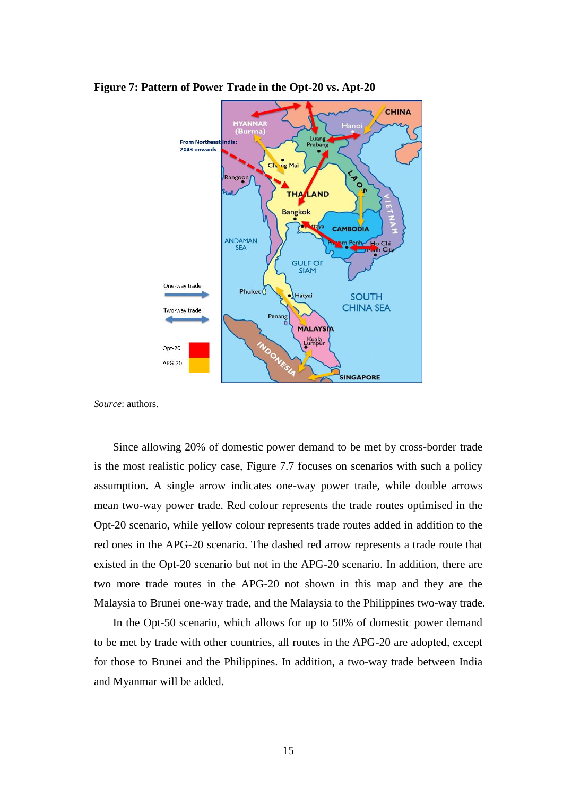

**Figure 7: Pattern of Power Trade in the Opt-20 vs. Apt-20**

*Source*: authors.

Since allowing 20% of domestic power demand to be met by cross-border trade is the most realistic policy case, Figure 7.7 focuses on scenarios with such a policy assumption. A single arrow indicates one-way power trade, while double arrows mean two-way power trade. Red colour represents the trade routes optimised in the Opt-20 scenario, while yellow colour represents trade routes added in addition to the red ones in the APG-20 scenario. The dashed red arrow represents a trade route that existed in the Opt-20 scenario but not in the APG-20 scenario. In addition, there are two more trade routes in the APG-20 not shown in this map and they are the Malaysia to Brunei one-way trade, and the Malaysia to the Philippines two-way trade.

In the Opt-50 scenario, which allows for up to 50% of domestic power demand to be met by trade with other countries, all routes in the APG-20 are adopted, except for those to Brunei and the Philippines. In addition, a two-way trade between India and Myanmar will be added.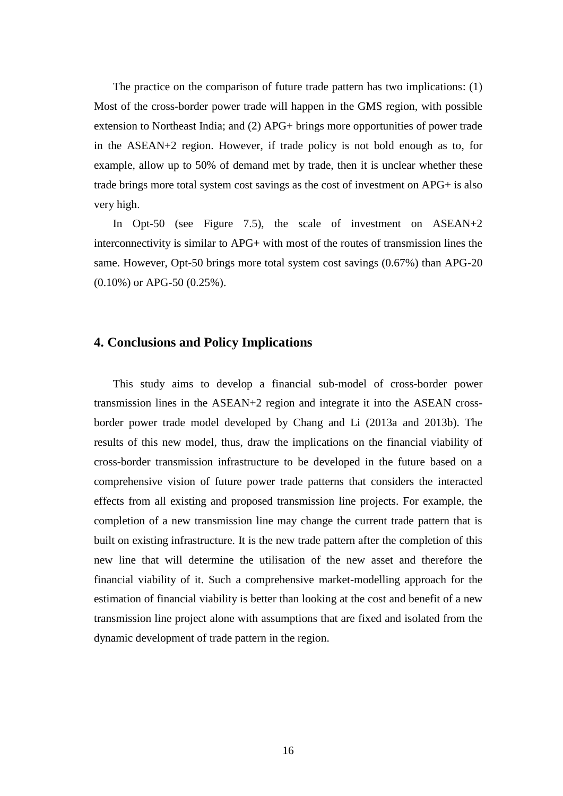The practice on the comparison of future trade pattern has two implications: (1) Most of the cross-border power trade will happen in the GMS region, with possible extension to Northeast India; and (2) APG+ brings more opportunities of power trade in the ASEAN+2 region. However, if trade policy is not bold enough as to, for example, allow up to 50% of demand met by trade, then it is unclear whether these trade brings more total system cost savings as the cost of investment on APG+ is also very high.

In Opt-50 (see Figure 7.5), the scale of investment on ASEAN+2 interconnectivity is similar to APG+ with most of the routes of transmission lines the same. However, Opt-50 brings more total system cost savings (0.67%) than APG-20 (0.10%) or APG-50 (0.25%).

### **4. Conclusions and Policy Implications**

This study aims to develop a financial sub-model of cross-border power transmission lines in the ASEAN+2 region and integrate it into the ASEAN crossborder power trade model developed by Chang and Li (2013a and 2013b). The results of this new model, thus, draw the implications on the financial viability of cross-border transmission infrastructure to be developed in the future based on a comprehensive vision of future power trade patterns that considers the interacted effects from all existing and proposed transmission line projects. For example, the completion of a new transmission line may change the current trade pattern that is built on existing infrastructure. It is the new trade pattern after the completion of this new line that will determine the utilisation of the new asset and therefore the financial viability of it. Such a comprehensive market-modelling approach for the estimation of financial viability is better than looking at the cost and benefit of a new transmission line project alone with assumptions that are fixed and isolated from the dynamic development of trade pattern in the region.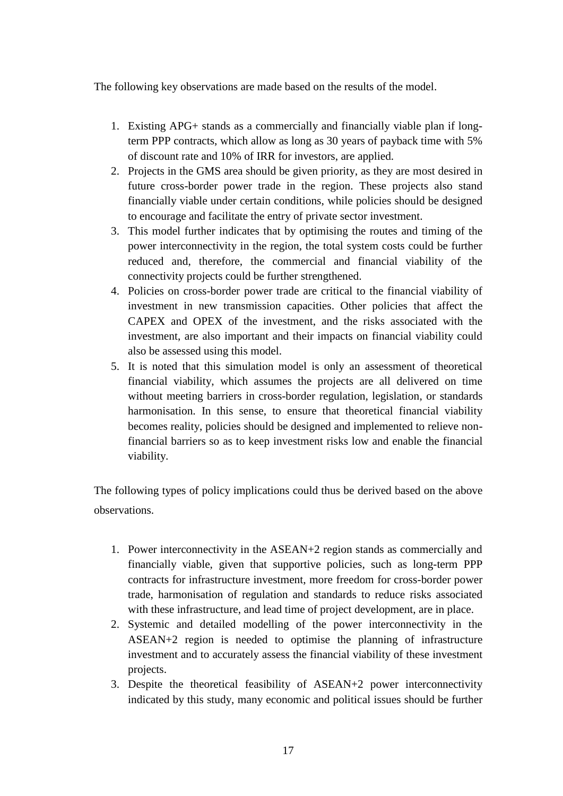The following key observations are made based on the results of the model.

- 1. Existing APG+ stands as a commercially and financially viable plan if longterm PPP contracts, which allow as long as 30 years of payback time with 5% of discount rate and 10% of IRR for investors, are applied.
- 2. Projects in the GMS area should be given priority, as they are most desired in future cross-border power trade in the region. These projects also stand financially viable under certain conditions, while policies should be designed to encourage and facilitate the entry of private sector investment.
- 3. This model further indicates that by optimising the routes and timing of the power interconnectivity in the region, the total system costs could be further reduced and, therefore, the commercial and financial viability of the connectivity projects could be further strengthened.
- 4. Policies on cross-border power trade are critical to the financial viability of investment in new transmission capacities. Other policies that affect the CAPEX and OPEX of the investment, and the risks associated with the investment, are also important and their impacts on financial viability could also be assessed using this model.
- 5. It is noted that this simulation model is only an assessment of theoretical financial viability, which assumes the projects are all delivered on time without meeting barriers in cross-border regulation, legislation, or standards harmonisation. In this sense, to ensure that theoretical financial viability becomes reality, policies should be designed and implemented to relieve nonfinancial barriers so as to keep investment risks low and enable the financial viability.

The following types of policy implications could thus be derived based on the above observations.

- 1. Power interconnectivity in the ASEAN+2 region stands as commercially and financially viable, given that supportive policies, such as long-term PPP contracts for infrastructure investment, more freedom for cross-border power trade, harmonisation of regulation and standards to reduce risks associated with these infrastructure, and lead time of project development, are in place.
- 2. Systemic and detailed modelling of the power interconnectivity in the ASEAN+2 region is needed to optimise the planning of infrastructure investment and to accurately assess the financial viability of these investment projects.
- 3. Despite the theoretical feasibility of ASEAN+2 power interconnectivity indicated by this study, many economic and political issues should be further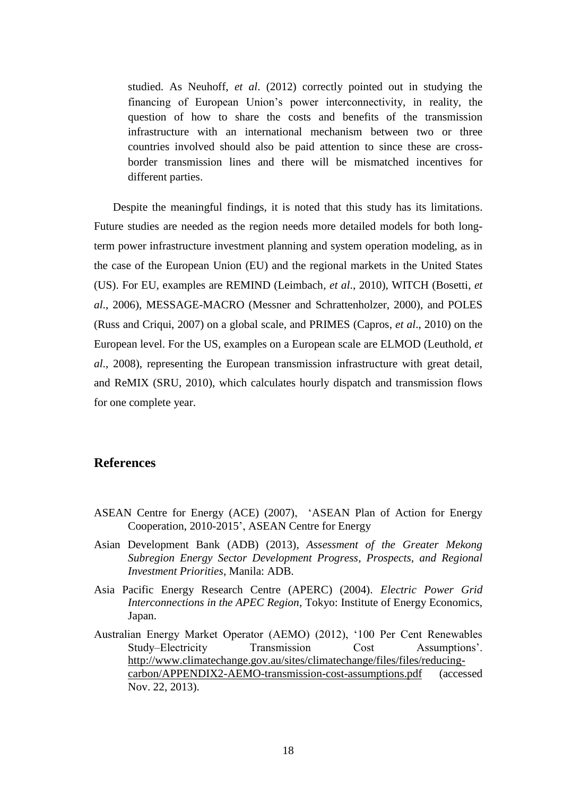studied. As Neuhoff, *et al*. (2012) correctly pointed out in studying the financing of European Union's power interconnectivity, in reality, the question of how to share the costs and benefits of the transmission infrastructure with an international mechanism between two or three countries involved should also be paid attention to since these are crossborder transmission lines and there will be mismatched incentives for different parties.

Despite the meaningful findings, it is noted that this study has its limitations. Future studies are needed as the region needs more detailed models for both longterm power infrastructure investment planning and system operation modeling, as in the case of the European Union (EU) and the regional markets in the United States (US). For EU, examples are REMIND (Leimbach, *et al*., 2010), WITCH (Bosetti, *et al*., 2006), MESSAGE-MACRO (Messner and Schrattenholzer, 2000), and POLES (Russ and Criqui, 2007) on a global scale, and PRIMES (Capros, *et al*., 2010) on the European level. For the US, examples on a European scale are ELMOD (Leuthold, *et al*., 2008), representing the European transmission infrastructure with great detail, and ReMIX (SRU, 2010), which calculates hourly dispatch and transmission flows for one complete year.

### **References**

- ASEAN Centre for Energy (ACE) (2007), 'ASEAN Plan of Action for Energy Cooperation, 2010-2015', ASEAN Centre for Energy
- Asian Development Bank (ADB) (2013), *Assessment of the Greater Mekong Subregion Energy Sector Development Progress, Prospects, and Regional Investment Priorities*, Manila: ADB.
- Asia Pacific Energy Research Centre (APERC) (2004). *Electric Power Grid Interconnections in the APEC Region*, Tokyo: Institute of Energy Economics, Japan.
- Australian Energy Market Operator (AEMO) (2012), '100 Per Cent Renewables Study–Electricity Transmission Cost Assumptions'. [http://www.climatechange.gov.au/sites/climatechange/files/files/reducing](http://www.climatechange.gov.au/sites/climatechange/files/files/reducing-carbon/APPENDIX2-AEMO-transmission-cost-assumptions.pdf)[carbon/APPENDIX2-AEMO-transmission-cost-assumptions.pdf](http://www.climatechange.gov.au/sites/climatechange/files/files/reducing-carbon/APPENDIX2-AEMO-transmission-cost-assumptions.pdf) (accessed Nov. 22, 2013).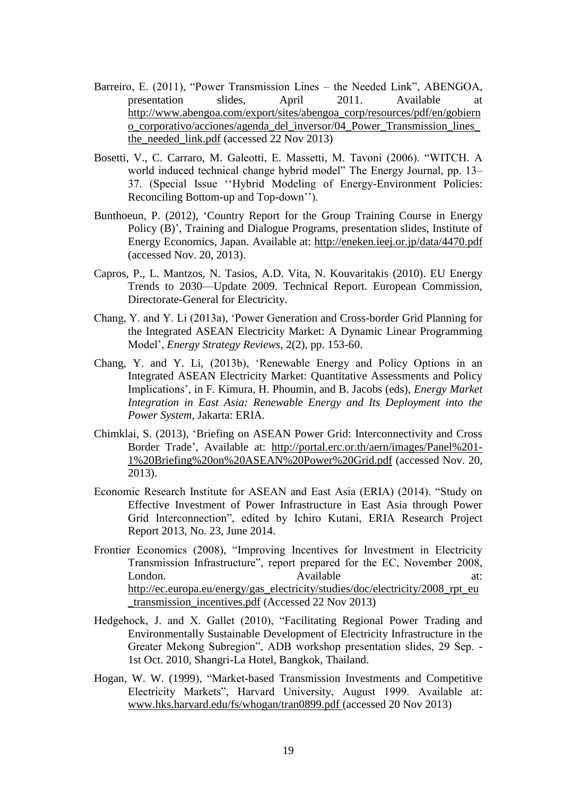- Barreiro, E. (2011), "Power Transmission Lines the Needed Link", ABENGOA, presentation slides, April 2011. Available at [http://www.abengoa.com/export/sites/abengoa\\_corp/resources/pdf/en/gobiern](http://www.abengoa.com/export/sites/abengoa_corp/resources/pdf/en/gobierno_corporativo/acciones/agenda_del_inversor/04_Power_Transmission_lines_the_needed_link.pdf) [o\\_corporativo/acciones/agenda\\_del\\_inversor/04\\_Power\\_Transmission\\_lines\\_](http://www.abengoa.com/export/sites/abengoa_corp/resources/pdf/en/gobierno_corporativo/acciones/agenda_del_inversor/04_Power_Transmission_lines_the_needed_link.pdf) the needed  $link.pdf$  (accessed 22 Nov 2013)
- Bosetti, V., C. Carraro, M. Galeotti, E. Massetti, M. Tavoni (2006). "WITCH. A world induced technical change hybrid model" The Energy Journal, pp. 13– 37. (Special Issue ''Hybrid Modeling of Energy-Environment Policies: Reconciling Bottom-up and Top-down'').
- Bunthoeun, P. (2012), ['Country Report for the Group Training Course](http://eneken.ieej.or.jp/data/4470.pdf) in Energy Policy (B)', Training and Dialogue Programs, presentation slides, Institute of Energy Economics, Japan. Available at: http://eneken.ieej.or.jp/data/4470.pdf (accessed Nov. 20, 2013).
- Capros, P., L. Mantzos, N. Tasios, A.D. Vita, N. Kouvaritakis (2010). EU Energy Trends to 2030—Update 2009. Technical Report. European Commission, Directorate-General for Electricity.
- Chang, Y. and Y. Li (2013a), 'Power Generation and Cross-border Grid Planning for the Integrated ASEAN Electricity Market: A Dynamic Linear Programming Model', *Energy Strategy Reviews*, 2(2), pp. 153-60.
- Chang, Y. and Y. Li, (2013b), 'Renewable Energy and Policy Options in an Integrated ASEAN Electricity Market: Quantitative Assessments and Policy Implications', in F. Kimura, H. Phoumin, and B. Jacobs (eds), *Energy Market Integration in East Asia: Renewable Energy and Its Deployment into the Power System,* Jakarta: ERIA.
- Chimklai, S. (2013), 'Briefing on ASEAN Power Grid: Interconnectivity and Cross Border Trade', Available at: [http://portal.erc.or.th/aern/images/Panel%201-](http://portal.erc.or.th/aern/images/Panel%201-1%20Briefing%20on%20ASEAN%20Power%20Grid.pdf) [1%20Briefing%20on%20ASEAN%20Power%20Grid.pdf](http://portal.erc.or.th/aern/images/Panel%201-1%20Briefing%20on%20ASEAN%20Power%20Grid.pdf) (accessed Nov. 20, 2013).
- Economic Research Institute for ASEAN and East Asia (ERIA) (2014). "Study on Effective Investment of Power Infrastructure in East Asia through Power Grid Interconnection", edited by Ichiro Kutani, ERIA Research Project Report 2013, No. 23, June 2014.
- Frontier Economics (2008), "Improving Incentives for Investment in Electricity Transmission Infrastructure", report prepared for the EC, November 2008, London. Available at: [http://ec.europa.eu/energy/gas\\_electricity/studies/doc/electricity/2008\\_rpt\\_eu](http://ec.europa.eu/energy/gas_electricity/studies/doc/electricity/2008_rpt_eu_transmission_incentives.pdf) [\\_transmission\\_incentives.pdf](http://ec.europa.eu/energy/gas_electricity/studies/doc/electricity/2008_rpt_eu_transmission_incentives.pdf) (Accessed 22 Nov 2013)
- Hedgehock, J. and X. Gallet (2010), "Facilitating Regional Power Trading and Environmentally Sustainable Development of Electricity Infrastructure in the Greater Mekong Subregion", ADB workshop presentation slides, 29 Sep. - 1st Oct. 2010, Shangri-La Hotel, Bangkok, Thailand.
- Hogan, W. W. (1999), "Market-based Transmission Investments and Competitive Electricity Markets", Harvard University, August 1999. Available at: [www.hks.harvard.edu/fs/whogan/tran0899.pdf](http://www.hks.harvard.edu/fs/whogan/tran0899.pdf) (accessed 20 Nov 2013)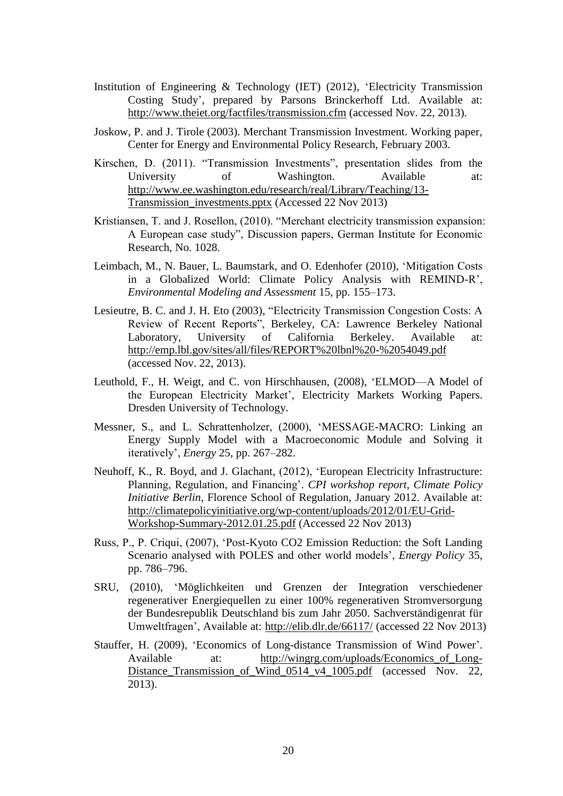- Institution of Engineering & Technology (IET) (2012), 'Electricity Transmission Costing Study', prepared by Parsons Brinckerhoff Ltd. Available at: <http://www.theiet.org/factfiles/transmission.cfm> (accessed Nov. 22, 2013).
- Joskow, P. and J. Tirole (2003). Merchant Transmission Investment. Working paper, Center for Energy and Environmental Policy Research, February 2003.
- Kirschen, D. (2011). "Transmission Investments", presentation slides from the University of Washington. Available at: [http://www.ee.washington.edu/research/real/Library/Teaching/13-](http://www.ee.washington.edu/research/real/Library/Teaching/13-Transmission_investments.pptx) [Transmission\\_investments.pptx](http://www.ee.washington.edu/research/real/Library/Teaching/13-Transmission_investments.pptx) (Accessed 22 Nov 2013)
- Kristiansen, T. and J. Rosellon, (2010). "Merchant electricity transmission expansion: A European case study", Discussion papers, German Institute for Economic Research, No. 1028.
- Leimbach, M., N. Bauer, L. Baumstark, and O. Edenhofer (2010), 'Mitigation Costs in a Globalized World: Climate Policy Analysis with REMIND-R', *Environmental Modeling and Assessment* 15, pp. 155–173.
- Lesieutre, B. C. and J. H. Eto (2003), "Electricity Transmission Congestion Costs: A Review of Recent Reports", Berkeley, CA: Lawrence Berkeley National Laboratory, University of California Berkeley. Available at: <http://emp.lbl.gov/sites/all/files/REPORT%20lbnl%20-%2054049.pdf> (accessed Nov. 22, 2013).
- Leuthold, F., H. Weigt, and C. von Hirschhausen, (2008), 'ELMOD—A Model of the European Electricity Market', Electricity Markets Working Papers. Dresden University of Technology.
- Messner, S., and L. Schrattenholzer, (2000), 'MESSAGE-MACRO: Linking an Energy Supply Model with a Macroeconomic Module and Solving it iteratively', *Energy* 25, pp. 267–282.
- Neuhoff, K., R. Boyd, and J. Glachant, (2012), 'European Electricity Infrastructure: Planning, Regulation, and Financing'. *CPI workshop report, Climate Policy Initiative Berlin*, Florence School of Regulation, January 2012. Available at: [http://climatepolicyinitiative.org/wp-content/uploads/2012/01/EU-Grid-](http://climatepolicyinitiative.org/wp-content/uploads/2012/01/EU-Grid-Workshop-Summary-2012.01.25.pdf)[Workshop-Summary-2012.01.25.pdf](http://climatepolicyinitiative.org/wp-content/uploads/2012/01/EU-Grid-Workshop-Summary-2012.01.25.pdf) (Accessed 22 Nov 2013)
- Russ, P., P. Criqui, (2007), 'Post-Kyoto CO2 Emission Reduction: the Soft Landing Scenario analysed with POLES and other world models', *Energy Policy* 35, pp. 786–796.
- SRU, (2010), 'Möglichkeiten und Grenzen der Integration verschiedener regenerativer Energiequellen zu einer 100% regenerativen Stromversorgung der Bundesrepublik Deutschland bis zum Jahr 2050. Sachverständigenrat für Umweltfragen', Available at:<http://elib.dlr.de/66117/> (accessed 22 Nov 2013)
- Stauffer, H. (2009), 'Economics of Long-distance Transmission of Wind Power'. Available at: http://wingrg.com/uploads/Economics of Long-[Distance\\_Transmission\\_of\\_Wind\\_0514\\_v4\\_1005.pdf](http://wingrg.com/uploads/Economics_of_Long-Distance_Transmission_of_Wind_0514_v4_1005.pdf) (accessed Nov. 22, 2013).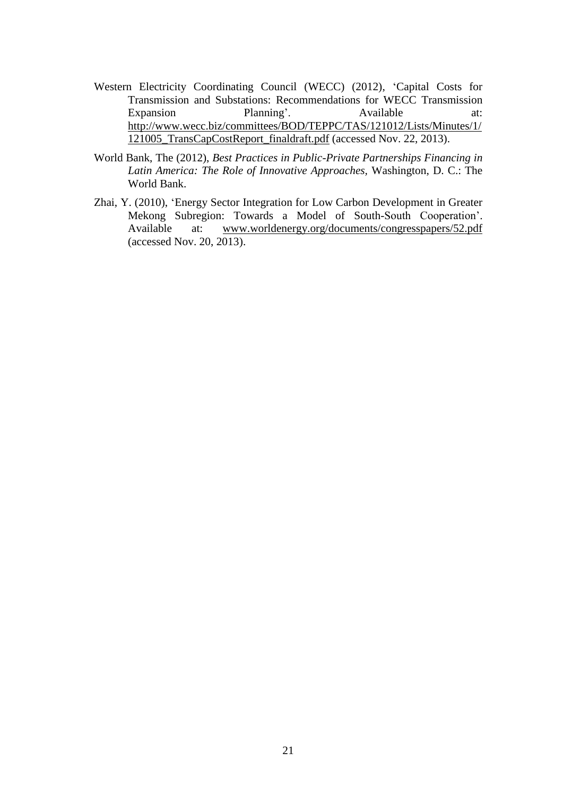- Western Electricity Coordinating Council (WECC) (2012), 'Capital Costs for Transmission and Substations: Recommendations for WECC Transmission Expansion Planning'. Available at: [http://www.wecc.biz/committees/BOD/TEPPC/TAS/121012/Lists/Minutes/1/](http://www.wecc.biz/committees/BOD/TEPPC/TAS/121012/Lists/Minutes/1/121005_TransCapCostReport_finaldraft.pdf) [121005\\_TransCapCostReport\\_finaldraft.pdf](http://www.wecc.biz/committees/BOD/TEPPC/TAS/121012/Lists/Minutes/1/121005_TransCapCostReport_finaldraft.pdf) (accessed Nov. 22, 2013).
- World Bank, The (2012), *Best Practices in Public-Private Partnerships Financing in Latin America: The Role of Innovative Approaches,* Washington, D. C.: The World Bank.
- Zhai, Y. (2010), 'Energy Sector Integration for Low Carbon Development in Greater Mekong Subregion: Towards a Model of South-South Cooperation'. Available at: [www.worldenergy.org/documents/congresspapers/52.pdf](http://www.worldenergy.org/documents/congresspapers/52.pdf) (accessed Nov. 20, 2013).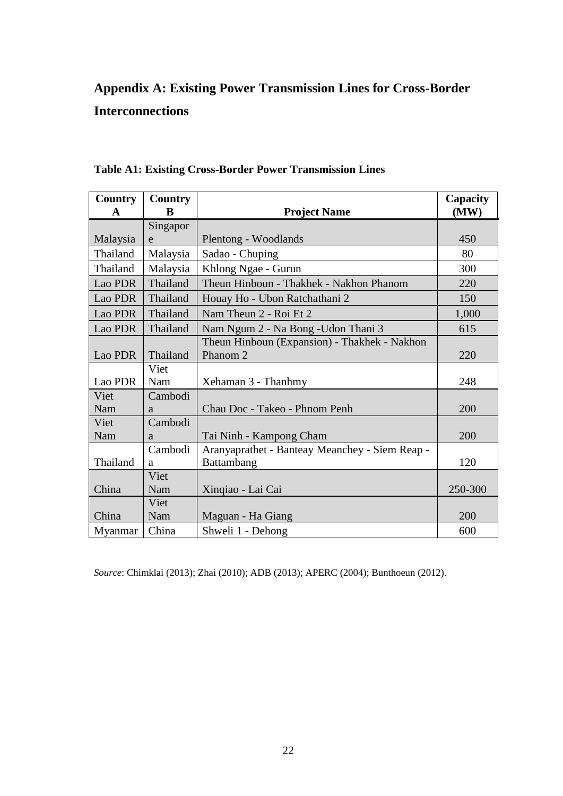## **Appendix A: Existing Power Transmission Lines for Cross-Border Interconnections**

| <b>Country</b><br>$\mathbf{A}$ | <b>Country</b><br>B | <b>Project Name</b>                                                 | Capacity<br>(MW) |
|--------------------------------|---------------------|---------------------------------------------------------------------|------------------|
|                                | Singapor            |                                                                     |                  |
| Malaysia                       | e                   | Plentong - Woodlands                                                | 450              |
| Thailand                       | Malaysia            | Sadao - Chuping                                                     | 80               |
| Thailand                       | Malaysia            | Khlong Ngae - Gurun                                                 | 300              |
| Lao PDR                        | Thailand            | Theun Hinboun - Thakhek - Nakhon Phanom                             | 220              |
| Lao PDR                        | Thailand            | Houay Ho - Ubon Ratchathani 2                                       | 150              |
| Lao PDR                        | Thailand            | Nam Theun 2 - Roi Et 2                                              | 1,000            |
| Lao PDR                        | Thailand            | Nam Ngum 2 - Na Bong - Udon Thani 3                                 | 615              |
| Lao PDR                        | Thailand            | Theun Hinboun (Expansion) - Thakhek - Nakhon<br>Phanom <sub>2</sub> | 220              |
|                                | Viet                |                                                                     |                  |
| Lao PDR                        | Nam                 | Xehaman 3 - Thanhmy                                                 | 248              |
| Viet                           | Cambodi             |                                                                     |                  |
| Nam                            | a                   | Chau Doc - Takeo - Phnom Penh                                       | 200              |
| Viet                           | Cambodi             |                                                                     |                  |
| Nam                            | a                   | Tai Ninh - Kampong Cham                                             | 200              |
|                                | Cambodi             | Aranyaprathet - Banteay Meanchey - Siem Reap -                      |                  |
| Thailand                       | a                   | Battambang                                                          | 120              |
|                                | Viet                |                                                                     |                  |
| China                          | Nam                 | Xinqiao - Lai Cai                                                   | 250-300          |
|                                | Viet                |                                                                     |                  |
| China                          | Nam                 | Maguan - Ha Giang                                                   | 200              |
| Myanmar                        | China               | Shweli 1 - Dehong                                                   | 600              |

### **Table A1: Existing Cross-Border Power Transmission Lines**

*Source*: Chimklai (2013); Zhai (2010); ADB (2013); APERC (2004); Bunthoeun (2012).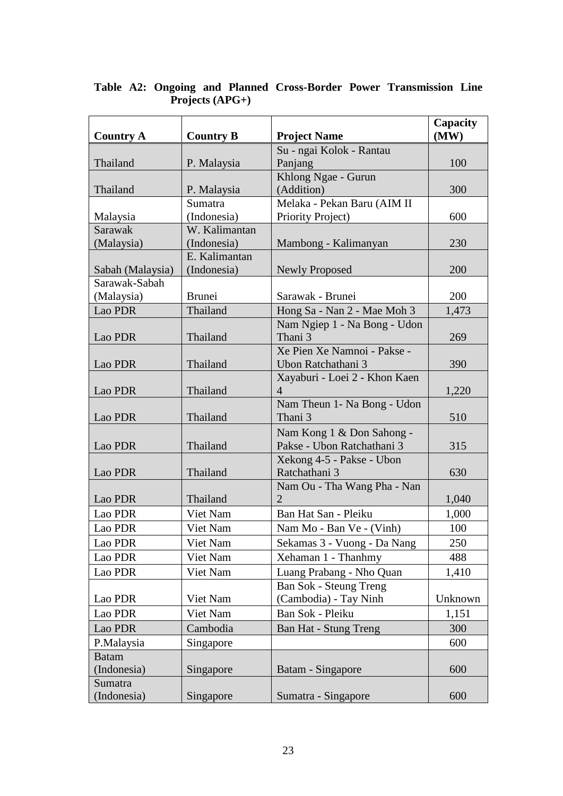| <b>Country A</b> | <b>Country B</b> | <b>Project Name</b>                    | Capacity<br>(MW) |
|------------------|------------------|----------------------------------------|------------------|
|                  |                  | Su - ngai Kolok - Rantau               |                  |
| Thailand         | P. Malaysia      | Panjang                                | 100              |
|                  |                  | Khlong Ngae - Gurun                    |                  |
| Thailand         | P. Malaysia      | (Addition)                             | 300              |
|                  | Sumatra          | Melaka - Pekan Baru (AIM II            |                  |
| Malaysia         | (Indonesia)      | <b>Priority Project</b> )              | 600              |
| Sarawak          | W. Kalimantan    |                                        |                  |
| (Malaysia)       | (Indonesia)      | Mambong - Kalimanyan                   | 230              |
|                  | E. Kalimantan    |                                        |                  |
| Sabah (Malaysia) | (Indonesia)      | <b>Newly Proposed</b>                  | 200              |
| Sarawak-Sabah    |                  |                                        |                  |
| (Malaysia)       | <b>Brunei</b>    | Sarawak - Brunei                       | 200              |
| Lao PDR          | Thailand         | Hong Sa - Nan 2 - Mae Moh 3            | 1,473            |
|                  |                  | Nam Ngiep 1 - Na Bong - Udon           |                  |
| Lao PDR          | Thailand         | Thani 3<br>Xe Pien Xe Namnoi - Pakse - | 269              |
| Lao PDR          | Thailand         | Ubon Ratchathani 3                     | 390              |
|                  |                  | Xayaburi - Loei 2 - Khon Kaen          |                  |
| Lao PDR          | Thailand         | $\overline{4}$                         | 1,220            |
|                  |                  | Nam Theun 1- Na Bong - Udon            |                  |
| Lao PDR          | Thailand         | Thani 3                                | 510              |
|                  |                  | Nam Kong 1 & Don Sahong -              |                  |
| Lao PDR          | Thailand         | Pakse - Ubon Ratchathani 3             | 315              |
|                  |                  | Xekong 4-5 - Pakse - Ubon              |                  |
| Lao PDR          | Thailand         | Ratchathani 3                          | 630              |
|                  |                  | Nam Ou - Tha Wang Pha - Nan            |                  |
| Lao PDR          | Thailand         | $\overline{2}$                         | 1,040            |
| Lao PDR          | Viet Nam         | Ban Hat San - Pleiku                   | 1,000            |
| Lao PDR          | Viet Nam         | Nam Mo - Ban Ve - (Vinh)               | 100              |
| Lao PDR          | Viet Nam         | Sekamas 3 - Vuong - Da Nang            | 250              |
| Lao PDR          | Viet Nam         | Xehaman 1 - Thanhmy                    | 488              |
| Lao PDR          | Viet Nam         | Luang Prabang - Nho Quan               | 1,410            |
|                  |                  | Ban Sok - Steung Treng                 |                  |
| Lao PDR          | Viet Nam         | (Cambodia) - Tay Ninh                  | Unknown          |
| Lao PDR          | Viet Nam         | Ban Sok - Pleiku                       | 1,151            |
| Lao PDR          | Cambodia         | <b>Ban Hat - Stung Treng</b>           | 300              |
| P.Malaysia       | Singapore        |                                        | 600              |
| <b>Batam</b>     |                  |                                        |                  |
| (Indonesia)      | Singapore        | Batam - Singapore                      | 600              |
| Sumatra          |                  |                                        |                  |
| (Indonesia)      | Singapore        | Sumatra - Singapore                    | 600              |

**Table A2: Ongoing and Planned Cross-Border Power Transmission Line Projects (APG+)**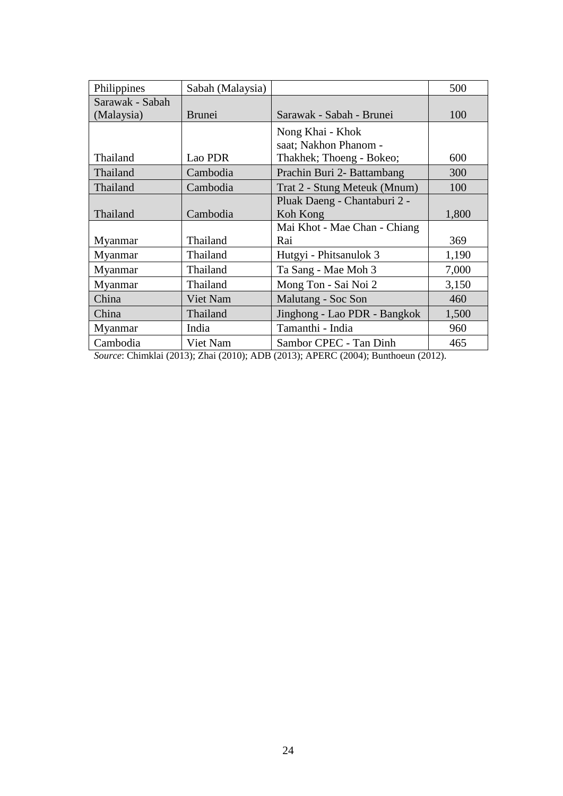| Philippines     | Sabah (Malaysia) |                                           | 500   |
|-----------------|------------------|-------------------------------------------|-------|
| Sarawak - Sabah |                  |                                           |       |
| (Malaysia)      | <b>Brunei</b>    | Sarawak - Sabah - Brunei                  | 100   |
|                 |                  | Nong Khai - Khok<br>saat; Nakhon Phanom - |       |
| Thailand        | Lao PDR          | Thakhek; Thoeng - Bokeo;                  | 600   |
| Thailand        | Cambodia         | Prachin Buri 2- Battambang                | 300   |
| Thailand        | Cambodia         | Trat 2 - Stung Meteuk (Mnum)              | 100   |
|                 |                  | Pluak Daeng - Chantaburi 2 -              |       |
| Thailand        | Cambodia         | Koh Kong                                  | 1,800 |
|                 |                  | Mai Khot - Mae Chan - Chiang              |       |
| Myanmar         | Thailand         | Rai                                       | 369   |
| Myanmar         | Thailand         | Hutgyi - Phitsanulok 3                    | 1,190 |
| Myanmar         | Thailand         | Ta Sang - Mae Moh 3                       | 7,000 |
| Myanmar         | Thailand         | Mong Ton - Sai Noi 2                      | 3,150 |
| China           | Viet Nam         | Malutang - Soc Son                        | 460   |
| China           | Thailand         | Jinghong - Lao PDR - Bangkok              | 1,500 |
| Myanmar         | India            | Tamanthi - India                          | 960   |
| Cambodia        | Viet Nam         | Sambor CPEC - Tan Dinh                    | 465   |

*Source*: Chimklai (2013); Zhai (2010); ADB (2013); APERC (2004); Bunthoeun (2012).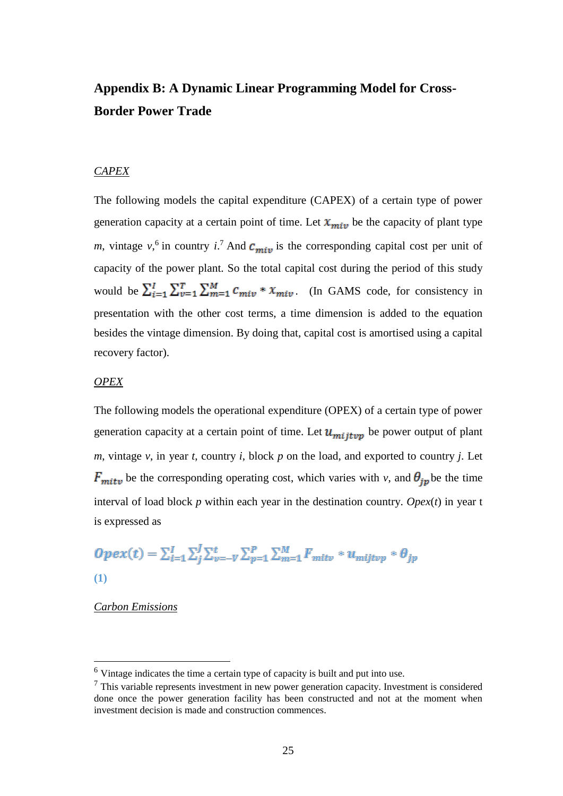## **Appendix B: A Dynamic Linear Programming Model for Cross-Border Power Trade**

### *CAPEX*

The following models the capital expenditure (CAPEX) of a certain type of power generation capacity at a certain point of time. Let  $x_{min}$  be the capacity of plant type *m*, vintage  $v<sub>i</sub>$ <sup>6</sup> in country *i*.<sup>7</sup> And  $c<sub>min</sub>$  is the corresponding capital cost per unit of capacity of the power plant. So the total capital cost during the period of this study would be  $\sum_{i=1}^{I} \sum_{v=1}^{T} \sum_{m=1}^{M} c_{miv} * x_{miv}$ . (In GAMS code, for consistency in presentation with the other cost terms, a time dimension is added to the equation besides the vintage dimension. By doing that, capital cost is amortised using a capital recovery factor).

### *OPEX*

The following models the operational expenditure (OPEX) of a certain type of power generation capacity at a certain point of time. Let  $u_{m,i}$  be power output of plant *m*, vintage *v*, in year *t*, country *i*, block *p* on the load, and exported to country *j*. Let  $F_{mitv}$  be the corresponding operating cost, which varies with *v*, and  $\theta_{ip}$  be the time interval of load block *p* within each year in the destination country. *Opex*(*t*) in year t is expressed as

$$
Opex(t) = \sum_{i=1}^{I} \sum_{j}^{J} \sum_{v=-V}^{t} \sum_{p=1}^{P} \sum_{m=1}^{M} F_{mitv} * u_{mijtvp} * \theta_{jp}
$$
  
(1)

*Carbon Emissions*

**.** 

<sup>6</sup> Vintage indicates the time a certain type of capacity is built and put into use.

 $<sup>7</sup>$  This variable represents investment in new power generation capacity. Investment is considered</sup> done once the power generation facility has been constructed and not at the moment when investment decision is made and construction commences.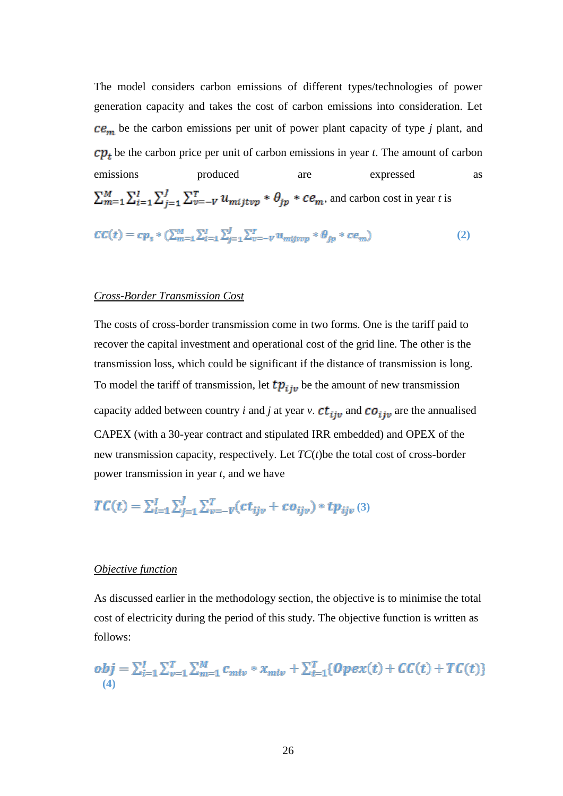The model considers carbon emissions of different types/technologies of power generation capacity and takes the cost of carbon emissions into consideration. Let  $ce<sub>m</sub>$  be the carbon emissions per unit of power plant capacity of type *j* plant, and  $\mathfrak{c}p_t$  be the carbon price per unit of carbon emissions in year *t*. The amount of carbon emissions **produced** are expressed as  $\sum_{m=1}^{M} \sum_{i=1}^{I} \sum_{j=1}^{I} \sum_{v=-V}^{T} u_{mijtvp} * \theta_{jp} * ce_m$ , and carbon cost in year t is  $\mathcal{C}\mathcal{C}(t) = c p_t * (\sum_{m=1}^M \sum_{i=1}^I \sum_{j=1}^J \sum_{v=-V}^T u_{mijtvp} * \theta_{ip} * c e_m)$  (2)

#### *Cross-Border Transmission Cost*

The costs of cross-border transmission come in two forms. One is the tariff paid to recover the capital investment and operational cost of the grid line. The other is the transmission loss, which could be significant if the distance of transmission is long. To model the tariff of transmission, let  $tp_{ijv}$  be the amount of new transmission capacity added between country *i* and *j* at year *v*.  $ct_{ijv}$  and  $co_{ijv}$  are the annualised CAPEX (with a 30-year contract and stipulated IRR embedded) and OPEX of the new transmission capacity, respectively. Let *TC*(*t*)be the total cost of cross-border power transmission in year *t*, and we have

$$
TC(t) = \sum_{i=1}^{I} \sum_{j=1}^{J} \sum_{v=-V}^{T} (ct_{ijv} + co_{ijv}) * tp_{ijv} (3)
$$

### *Objective function*

As discussed earlier in the methodology section, the objective is to minimise the total cost of electricity during the period of this study. The objective function is written as follows:

$$
obj = \sum_{i=1}^{I} \sum_{v=1}^{T} \sum_{m=1}^{M} c_{miv} * x_{miv} + \sum_{t=1}^{T} \{Opex(t) + CC(t) + TC(t)\}\
$$
\n(4)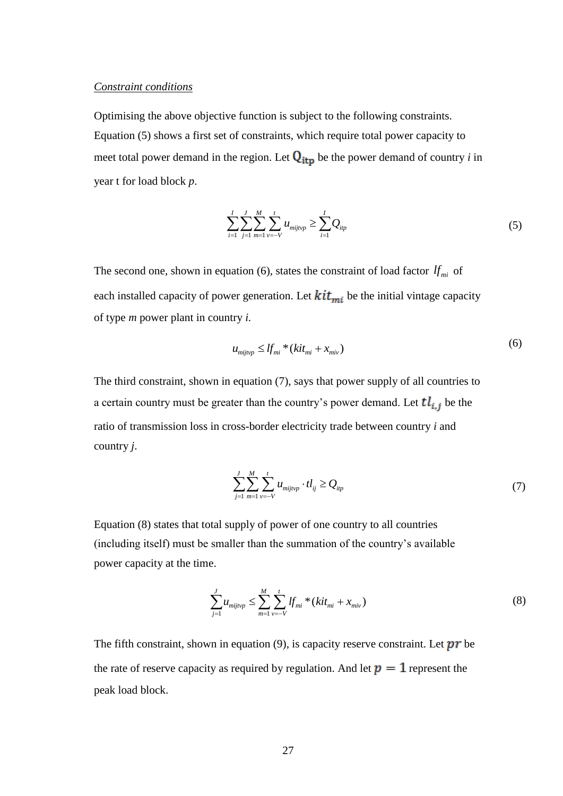#### *Constraint conditions*

Optimising the above objective function is subject to the following constraints. Equation (5) shows a first set of constraints, which require total power capacity to meet total power demand in the region. Let  $Q_{itp}$  be the power demand of country *i* in year t for load block *p*.

$$
\sum_{i=1}^{I} \sum_{j=1}^{J} \sum_{m=1}^{M} \sum_{v=-V}^{t} u_{mijv p} \ge \sum_{i=1}^{I} Q_{ip}
$$
\n(5)

The second one, shown in equation (6), states the constraint of load factor  $df_{mi}$  of each installed capacity of power generation. Let  $kit_{mi}$  be the initial vintage capacity of type *m* power plant in country *i.*

$$
u_{mij\gamma} \leq df_{mi} * (kit_{mi} + x_{mi})
$$
 (6)

The third constraint, shown in equation (7), says that power supply of all countries to a certain country must be greater than the country's power demand. Let  $tl_{i,j}$  be the ratio of transmission loss in cross-border electricity trade between country *i* and country *j*.

$$
\sum_{j=1}^{J} \sum_{m=1}^{M} \sum_{v=-V}^{t} u_{mijv} \cdot t l_{ij} \ge Q_{ip}
$$
 (7)

Equation (8) states that total supply of power of one country to all countries (including itself) must be smaller than the summation of the country's available power capacity at the time.

$$
\sum_{j=1}^{J} u_{mij\nu p} \le \sum_{m=1}^{M} \sum_{\nu=-V}^{t} l f_{mi} * (k i t_{mi} + x_{mi\nu})
$$
\n(8)

The fifth constraint, shown in equation  $(9)$ , is capacity reserve constraint. Let  $\mathbf{pr}$  be the rate of reserve capacity as required by regulation. And let  $p = 1$  represent the peak load block.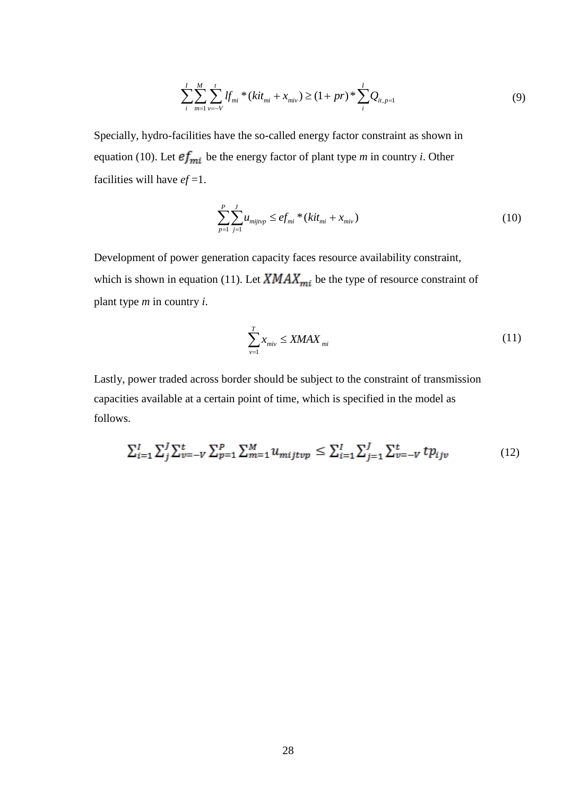$$
\sum_{i}^{I} \sum_{m=1}^{M} \sum_{v=-V}^{t} \sum_{v=-V}^{t} \sum_{m=1}^{V} \left( k i t_{mi} + x_{miv} \right) \ge (1 + pr)^{\frac{1}{2}} \sum_{i}^{I} Q_{it,p=1}
$$
\n(9)

Specially, hydro-facilities have the so-called energy factor constraint as shown in equation (10). Let  $ef_{mi}$  be the energy factor of plant type *m* in country *i*. Other facilities will have *ef* =1.

$$
\sum_{p=1}^{P} \sum_{j=1}^{J} u_{mijtop} \leq e f_{mi} * (kit_{mi} + x_{miv})
$$
\n(10)

Development of power generation capacity faces resource availability constraint, which is shown in equation (11). Let  $\overline{X} \overline{M} A \overline{X}_{mi}$  be the type of resource constraint of plant type *m* in country *i*.

$$
\sum_{v=1}^{T} x_{\text{mix}} \le \text{XMAX}_{\text{mi}} \tag{11}
$$

Lastly, power traded across border should be subject to the constraint of transmission capacities available at a certain point of time, which is specified in the model as follows.

$$
\sum_{i=1}^{I} \sum_{j}^{I} \sum_{v=-V}^{t} \sum_{p=1}^{P} \sum_{m=1}^{M} u_{mijtvp} \le \sum_{i=1}^{I} \sum_{j=1}^{J} \sum_{v=-V}^{t} tp_{ijv} \tag{12}
$$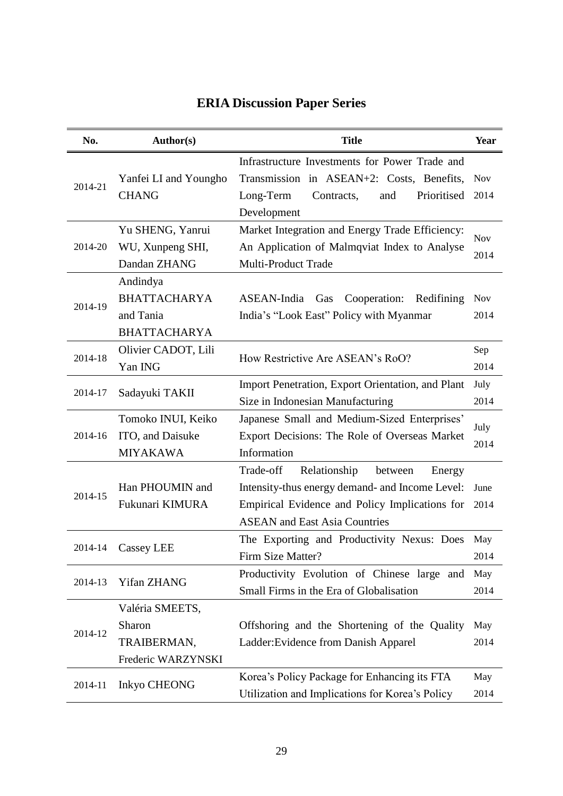| No.     | <b>Author(s)</b>      | <b>Title</b>                                      | Year       |
|---------|-----------------------|---------------------------------------------------|------------|
|         |                       | Infrastructure Investments for Power Trade and    |            |
|         | Yanfei LI and Youngho | Transmission in ASEAN+2: Costs, Benefits,         | <b>Nov</b> |
| 2014-21 | <b>CHANG</b>          | Long-Term<br>Contracts,<br>Prioritised<br>and     | 2014       |
|         |                       | Development                                       |            |
|         | Yu SHENG, Yanrui      | Market Integration and Energy Trade Efficiency:   |            |
| 2014-20 | WU, Xunpeng SHI,      | An Application of Malmqviat Index to Analyse      | <b>Nov</b> |
|         | Dandan ZHANG          | <b>Multi-Product Trade</b>                        | 2014       |
|         | Andindya              |                                                   |            |
|         | <b>BHATTACHARYA</b>   | ASEAN-India<br>Cooperation:<br>Gas<br>Redifining  | <b>Nov</b> |
| 2014-19 | and Tania             | India's "Look East" Policy with Myanmar           | 2014       |
|         | <b>BHATTACHARYA</b>   |                                                   |            |
|         | Olivier CADOT, Lili   |                                                   | Sep        |
| 2014-18 | Yan ING               | How Restrictive Are ASEAN's RoO?                  | 2014       |
|         |                       | Import Penetration, Export Orientation, and Plant | July       |
| 2014-17 | Sadayuki TAKII        | Size in Indonesian Manufacturing                  | 2014       |
|         | Tomoko INUI, Keiko    | Japanese Small and Medium-Sized Enterprises'      |            |
| 2014-16 | ITO, and Daisuke      | Export Decisions: The Role of Overseas Market     | July       |
|         | <b>MIYAKAWA</b>       | Information                                       | 2014       |
|         |                       | Relationship<br>Trade-off<br>between<br>Energy    |            |
|         | Han PHOUMIN and       | Intensity-thus energy demand- and Income Level:   | June       |
| 2014-15 | Fukunari KIMURA       | Empirical Evidence and Policy Implications for    | 2014       |
|         |                       | <b>ASEAN</b> and East Asia Countries              |            |
|         |                       | The Exporting and Productivity Nexus: Does        | May        |
| 2014-14 | Cassey LEE            | Firm Size Matter?                                 | 2014       |
|         |                       | Productivity Evolution of Chinese large and       | May        |
| 2014-13 | Yifan ZHANG           | Small Firms in the Era of Globalisation           | 2014       |
|         | Valéria SMEETS,       |                                                   |            |
|         | Sharon                | Offshoring and the Shortening of the Quality      | May        |
| 2014-12 | TRAIBERMAN,           | Ladder: Evidence from Danish Apparel              | 2014       |
|         | Frederic WARZYNSKI    |                                                   |            |
|         |                       | Korea's Policy Package for Enhancing its FTA      | May        |
| 2014-11 | Inkyo CHEONG          | Utilization and Implications for Korea's Policy   | 2014       |

# **ERIA Discussion Paper Series**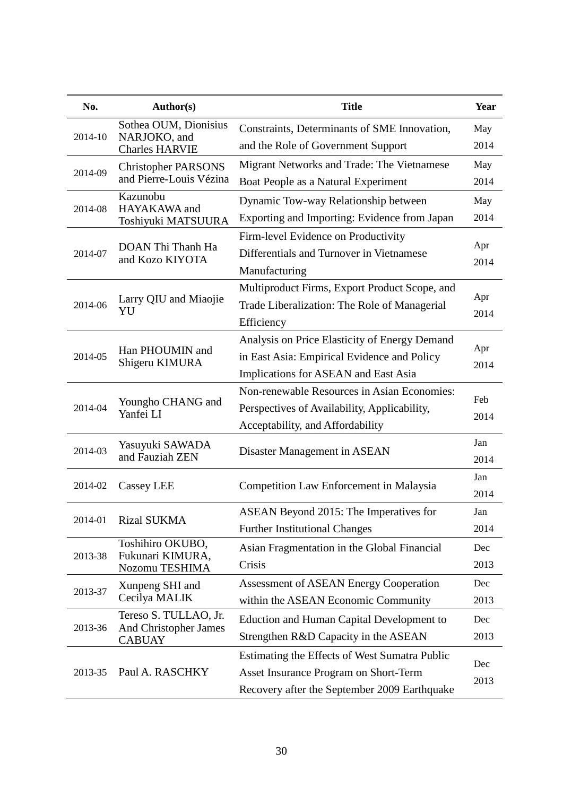| No.     | Author(s)                                             | <b>Title</b>                                     | Year        |  |
|---------|-------------------------------------------------------|--------------------------------------------------|-------------|--|
|         | Sothea OUM, Dionisius                                 | Constraints, Determinants of SME Innovation,     | May         |  |
| 2014-10 | NARJOKO, and<br><b>Charles HARVIE</b>                 | and the Role of Government Support               | 2014        |  |
|         | <b>Christopher PARSONS</b>                            | Migrant Networks and Trade: The Vietnamese       | May         |  |
| 2014-09 | and Pierre-Louis Vézina                               | Boat People as a Natural Experiment              | 2014        |  |
| 2014-08 | Kazunobu<br>HAYAKAWA and                              | Dynamic Tow-way Relationship between             | May         |  |
|         | Toshiyuki MATSUURA                                    | Exporting and Importing: Evidence from Japan     | 2014        |  |
|         |                                                       | Firm-level Evidence on Productivity              |             |  |
| 2014-07 | DOAN Thi Thanh Ha<br>and Kozo KIYOTA                  | Differentials and Turnover in Vietnamese         | Apr<br>2014 |  |
|         |                                                       | Manufacturing                                    |             |  |
|         | Larry QIU and Miaojie<br>YU                           | Multiproduct Firms, Export Product Scope, and    | Apr         |  |
| 2014-06 |                                                       | Trade Liberalization: The Role of Managerial     | 2014        |  |
|         |                                                       | Efficiency                                       |             |  |
|         | Han PHOUMIN and<br>Shigeru KIMURA                     | Analysis on Price Elasticity of Energy Demand    | Apr         |  |
| 2014-05 |                                                       | in East Asia: Empirical Evidence and Policy      | 2014        |  |
|         |                                                       | Implications for ASEAN and East Asia             |             |  |
|         | Youngho CHANG and<br>Yanfei LI                        | Non-renewable Resources in Asian Economies:      | Feb         |  |
| 2014-04 |                                                       | Perspectives of Availability, Applicability,     | 2014        |  |
|         |                                                       | Acceptability, and Affordability                 |             |  |
| 2014-03 | Yasuyuki SAWADA                                       | Disaster Management in ASEAN                     | Jan         |  |
|         | and Fauziah ZEN                                       |                                                  | 2014        |  |
| 2014-02 | Cassey LEE                                            | <b>Competition Law Enforcement in Malaysia</b>   | Jan         |  |
|         |                                                       |                                                  | 2014        |  |
| 2014-01 | <b>Rizal SUKMA</b>                                    | ASEAN Beyond 2015: The Imperatives for           | Jan         |  |
|         |                                                       | <b>Further Institutional Changes</b>             | 2014        |  |
| 2013-38 | Toshihiro OKUBO,<br>Fukunari KIMURA,                  | Asian Fragmentation in the Global Financial      | Dec         |  |
|         | Nozomu TESHIMA                                        | Crisis                                           | 2013        |  |
| 2013-37 | Xunpeng SHI and                                       | <b>Assessment of ASEAN Energy Cooperation</b>    | Dec         |  |
|         | Cecilya MALIK                                         | within the ASEAN Economic Community              | 2013        |  |
| 2013-36 | Tereso S. TULLAO, Jr.<br><b>And Christopher James</b> | <b>Eduction and Human Capital Development to</b> | Dec         |  |
|         | <b>CABUAY</b>                                         | Strengthen R&D Capacity in the ASEAN             | 2013        |  |
|         |                                                       | Estimating the Effects of West Sumatra Public    |             |  |
| 2013-35 | Paul A. RASCHKY                                       | Asset Insurance Program on Short-Term            | Dec<br>2013 |  |
|         |                                                       | Recovery after the September 2009 Earthquake     |             |  |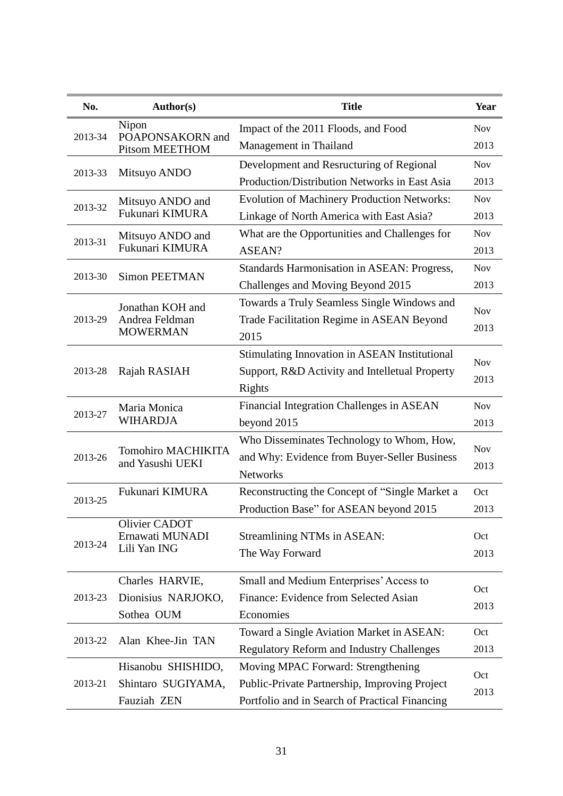| No.     | Author(s)                                 | <b>Title</b>                                       | Year       |  |
|---------|-------------------------------------------|----------------------------------------------------|------------|--|
|         | Nipon                                     | Impact of the 2011 Floods, and Food                | <b>Nov</b> |  |
| 2013-34 | POAPONSAKORN and<br><b>Pitsom MEETHOM</b> | Management in Thailand                             | 2013       |  |
|         |                                           | Development and Resructuring of Regional           | <b>Nov</b> |  |
| 2013-33 | Mitsuyo ANDO                              | Production/Distribution Networks in East Asia      | 2013       |  |
| 2013-32 | Mitsuyo ANDO and                          | <b>Evolution of Machinery Production Networks:</b> | <b>Nov</b> |  |
|         | Fukunari KIMURA                           | Linkage of North America with East Asia?           | 2013       |  |
| 2013-31 | Mitsuyo ANDO and                          | What are the Opportunities and Challenges for      | <b>Nov</b> |  |
|         | Fukunari KIMURA                           | ASEAN?                                             | 2013       |  |
| 2013-30 | <b>Simon PEETMAN</b>                      | Standards Harmonisation in ASEAN: Progress,        | <b>Nov</b> |  |
|         |                                           | Challenges and Moving Beyond 2015                  | 2013       |  |
|         | Jonathan KOH and                          | Towards a Truly Seamless Single Windows and        | <b>Nov</b> |  |
| 2013-29 | Andrea Feldman                            | Trade Facilitation Regime in ASEAN Beyond          | 2013       |  |
|         | <b>MOWERMAN</b>                           | 2015                                               |            |  |
|         |                                           | Stimulating Innovation in ASEAN Institutional      | <b>Nov</b> |  |
| 2013-28 | Rajah RASIAH                              | Support, R&D Activity and Intelletual Property     | 2013       |  |
|         |                                           | <b>Rights</b>                                      |            |  |
| 2013-27 | Maria Monica                              | Financial Integration Challenges in ASEAN          | <b>Nov</b> |  |
|         | <b>WIHARDJA</b>                           | beyond 2015                                        | 2013       |  |
|         | Tomohiro MACHIKITA<br>and Yasushi UEKI    | Who Disseminates Technology to Whom, How,          | <b>Nov</b> |  |
| 2013-26 |                                           | and Why: Evidence from Buyer-Seller Business       | 2013       |  |
|         |                                           | <b>Networks</b>                                    |            |  |
| 2013-25 | Fukunari KIMURA                           | Reconstructing the Concept of "Single Market a     | Oct        |  |
|         |                                           | Production Base" for ASEAN beyond 2015             | 2013       |  |
|         | Olivier CADOT<br>Ernawati MUNADI          | Streamlining NTMs in ASEAN:                        | Oct        |  |
| 2013-24 | Lili Yan ING                              | The Way Forward                                    | 2013       |  |
|         |                                           |                                                    |            |  |
|         | Charles HARVIE,                           | Small and Medium Enterprises' Access to            | Oct        |  |
| 2013-23 | Dionisius NARJOKO,                        | Finance: Evidence from Selected Asian              | 2013       |  |
|         | Sothea OUM                                | Economies                                          |            |  |
| 2013-22 | Alan Khee-Jin TAN                         | Toward a Single Aviation Market in ASEAN:          | Oct        |  |
|         |                                           | <b>Regulatory Reform and Industry Challenges</b>   | 2013       |  |
|         | Hisanobu SHISHIDO,                        | Moving MPAC Forward: Strengthening                 | Oct        |  |
| 2013-21 | Shintaro SUGIYAMA,                        | Public-Private Partnership, Improving Project      | 2013       |  |
|         | Fauziah ZEN                               | Portfolio and in Search of Practical Financing     |            |  |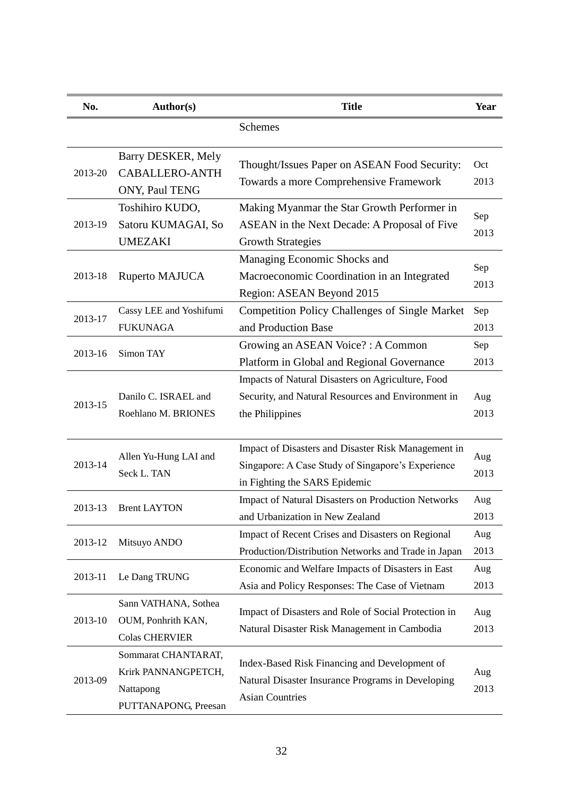| No.     | Author(s)                                                                       | <b>Title</b>                                                                                                                              | Year        |
|---------|---------------------------------------------------------------------------------|-------------------------------------------------------------------------------------------------------------------------------------------|-------------|
|         |                                                                                 | Schemes                                                                                                                                   |             |
| 2013-20 | Barry DESKER, Mely<br><b>CABALLERO-ANTH</b><br>ONY, Paul TENG                   | Thought/Issues Paper on ASEAN Food Security:<br>Towards a more Comprehensive Framework                                                    | Oct<br>2013 |
| 2013-19 | Toshihiro KUDO,<br>Satoru KUMAGAI, So<br><b>UMEZAKI</b>                         | Making Myanmar the Star Growth Performer in<br>ASEAN in the Next Decade: A Proposal of Five<br><b>Growth Strategies</b>                   | Sep<br>2013 |
| 2013-18 | Ruperto MAJUCA                                                                  | Managing Economic Shocks and<br>Macroeconomic Coordination in an Integrated<br>Region: ASEAN Beyond 2015                                  | Sep<br>2013 |
| 2013-17 | Cassy LEE and Yoshifumi<br><b>FUKUNAGA</b>                                      | <b>Competition Policy Challenges of Single Market</b><br>and Production Base                                                              | Sep<br>2013 |
| 2013-16 | Simon TAY                                                                       | Growing an ASEAN Voice? : A Common<br>Platform in Global and Regional Governance                                                          | Sep<br>2013 |
| 2013-15 | Danilo C. ISRAEL and<br>Roehlano M. BRIONES                                     | Impacts of Natural Disasters on Agriculture, Food<br>Security, and Natural Resources and Environment in<br>the Philippines                | Aug<br>2013 |
| 2013-14 | Allen Yu-Hung LAI and<br>Seck L. TAN                                            | Impact of Disasters and Disaster Risk Management in<br>Singapore: A Case Study of Singapore's Experience<br>in Fighting the SARS Epidemic | Aug<br>2013 |
| 2013-13 | <b>Brent LAYTON</b>                                                             | <b>Impact of Natural Disasters on Production Networks</b><br>and Urbanization in New Zealand                                              | Aug<br>2013 |
| 2013-12 | Mitsuyo ANDO                                                                    | Impact of Recent Crises and Disasters on Regional<br>Production/Distribution Networks and Trade in Japan                                  | Aug<br>2013 |
| 2013-11 | Le Dang TRUNG                                                                   | Economic and Welfare Impacts of Disasters in East<br>Asia and Policy Responses: The Case of Vietnam                                       | Aug<br>2013 |
| 2013-10 | Sann VATHANA, Sothea<br>OUM, Ponhrith KAN,<br><b>Colas CHERVIER</b>             | Impact of Disasters and Role of Social Protection in<br>Natural Disaster Risk Management in Cambodia                                      | Aug<br>2013 |
| 2013-09 | Sommarat CHANTARAT,<br>Krirk PANNANGPETCH,<br>Nattapong<br>PUTTANAPONG, Preesan | Index-Based Risk Financing and Development of<br>Natural Disaster Insurance Programs in Developing<br><b>Asian Countries</b>              | Aug<br>2013 |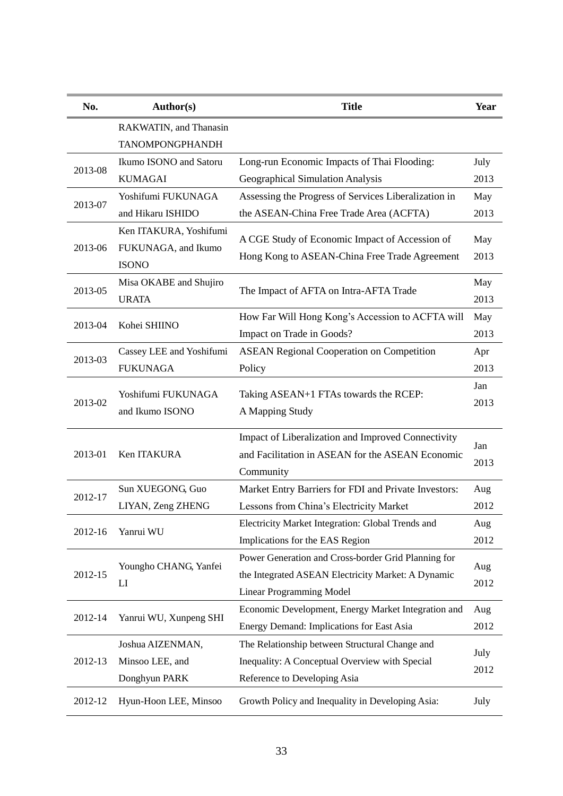| No.     | Author(s)                | <b>Title</b>                                             | Year |  |
|---------|--------------------------|----------------------------------------------------------|------|--|
|         | RAKWATIN, and Thanasin   |                                                          |      |  |
|         | <b>TANOMPONGPHANDH</b>   |                                                          |      |  |
| 2013-08 | Ikumo ISONO and Satoru   | Long-run Economic Impacts of Thai Flooding:              | July |  |
|         | <b>KUMAGAI</b>           | Geographical Simulation Analysis                         | 2013 |  |
| 2013-07 | Yoshifumi FUKUNAGA       | Assessing the Progress of Services Liberalization in     | May  |  |
|         | and Hikaru ISHIDO        | the ASEAN-China Free Trade Area (ACFTA)                  | 2013 |  |
|         | Ken ITAKURA, Yoshifumi   | A CGE Study of Economic Impact of Accession of           | May  |  |
| 2013-06 | FUKUNAGA, and Ikumo      | Hong Kong to ASEAN-China Free Trade Agreement            | 2013 |  |
|         | <b>ISONO</b>             |                                                          |      |  |
| 2013-05 | Misa OKABE and Shujiro   | The Impact of AFTA on Intra-AFTA Trade                   | May  |  |
|         | <b>URATA</b>             |                                                          | 2013 |  |
| 2013-04 | Kohei SHIINO             | How Far Will Hong Kong's Accession to ACFTA will         | May  |  |
|         |                          | Impact on Trade in Goods?                                | 2013 |  |
| 2013-03 | Cassey LEE and Yoshifumi | <b>ASEAN Regional Cooperation on Competition</b>         | Apr  |  |
|         | <b>FUKUNAGA</b>          | Policy                                                   | 2013 |  |
| 2013-02 | Yoshifumi FUKUNAGA       | Taking ASEAN+1 FTAs towards the RCEP:<br>A Mapping Study |      |  |
|         | and Ikumo ISONO          |                                                          |      |  |
|         |                          |                                                          |      |  |
|         |                          | Impact of Liberalization and Improved Connectivity       | Jan  |  |
| 2013-01 | Ken ITAKURA              | and Facilitation in ASEAN for the ASEAN Economic         | 2013 |  |
|         |                          | Community                                                |      |  |
| 2012-17 | Sun XUEGONG, Guo         | Market Entry Barriers for FDI and Private Investors:     | Aug  |  |
|         | LIYAN, Zeng ZHENG        | Lessons from China's Electricity Market                  | 2012 |  |
| 2012-16 | Yanrui WU                | Electricity Market Integration: Global Trends and        | Aug  |  |
|         |                          | Implications for the EAS Region                          | 2012 |  |
|         | Youngho CHANG, Yanfei    | Power Generation and Cross-border Grid Planning for      | Aug  |  |
| 2012-15 | LI                       | the Integrated ASEAN Electricity Market: A Dynamic       | 2012 |  |
|         |                          | <b>Linear Programming Model</b>                          |      |  |
| 2012-14 | Yanrui WU, Xunpeng SHI   | Economic Development, Energy Market Integration and      | Aug  |  |
|         |                          | Energy Demand: Implications for East Asia                | 2012 |  |
|         | Joshua AIZENMAN,         | The Relationship between Structural Change and           | July |  |
| 2012-13 | Minsoo LEE, and          | Inequality: A Conceptual Overview with Special           | 2012 |  |
|         | Donghyun PARK            | Reference to Developing Asia                             |      |  |
| 2012-12 | Hyun-Hoon LEE, Minsoo    | Growth Policy and Inequality in Developing Asia:         | July |  |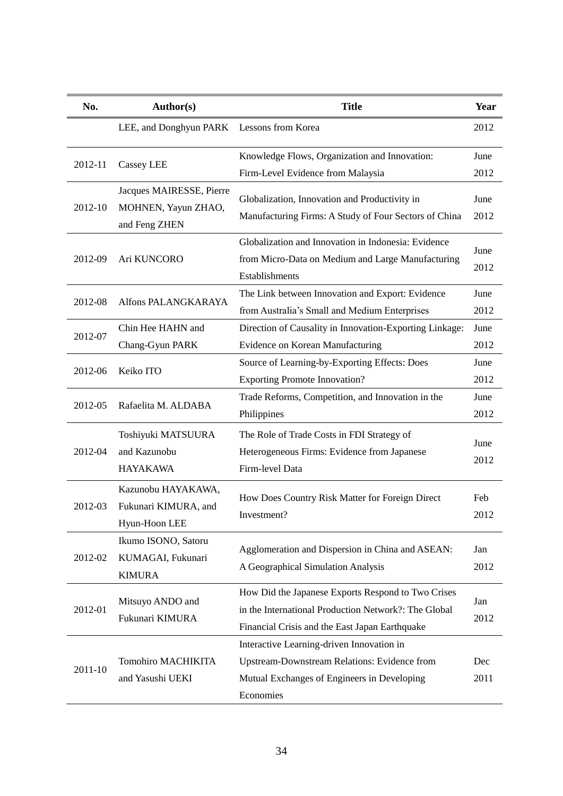| No.     | <b>Author(s)</b>                                                 | <b>Title</b>                                                                                                                                                 | Year         |
|---------|------------------------------------------------------------------|--------------------------------------------------------------------------------------------------------------------------------------------------------------|--------------|
|         | LEE, and Donghyun PARK                                           | Lessons from Korea                                                                                                                                           | 2012         |
| 2012-11 | <b>Cassey LEE</b>                                                | Knowledge Flows, Organization and Innovation:<br>Firm-Level Evidence from Malaysia                                                                           | June<br>2012 |
| 2012-10 | Jacques MAIRESSE, Pierre<br>MOHNEN, Yayun ZHAO,<br>and Feng ZHEN | Globalization, Innovation and Productivity in<br>Manufacturing Firms: A Study of Four Sectors of China                                                       | June<br>2012 |
| 2012-09 | Ari KUNCORO                                                      | Globalization and Innovation in Indonesia: Evidence<br>from Micro-Data on Medium and Large Manufacturing<br>Establishments                                   | June<br>2012 |
| 2012-08 | Alfons PALANGKARAYA                                              | The Link between Innovation and Export: Evidence<br>from Australia's Small and Medium Enterprises                                                            | June<br>2012 |
| 2012-07 | Chin Hee HAHN and<br>Chang-Gyun PARK                             | Direction of Causality in Innovation-Exporting Linkage:<br>Evidence on Korean Manufacturing                                                                  | June<br>2012 |
| 2012-06 | Keiko ITO                                                        | Source of Learning-by-Exporting Effects: Does<br><b>Exporting Promote Innovation?</b>                                                                        | June<br>2012 |
| 2012-05 | Rafaelita M. ALDABA                                              | Trade Reforms, Competition, and Innovation in the<br>Philippines                                                                                             | June<br>2012 |
| 2012-04 | Toshiyuki MATSUURA<br>and Kazunobu<br><b>HAYAKAWA</b>            | The Role of Trade Costs in FDI Strategy of<br>Heterogeneous Firms: Evidence from Japanese<br>Firm-level Data                                                 | June<br>2012 |
| 2012-03 | Kazunobu HAYAKAWA,<br>Fukunari KIMURA, and<br>Hyun-Hoon LEE      | How Does Country Risk Matter for Foreign Direct<br>Investment?                                                                                               | Feb<br>2012  |
| 2012-02 | Ikumo ISONO, Satoru<br>KUMAGAI, Fukunari<br><b>KIMURA</b>        | Agglomeration and Dispersion in China and ASEAN:<br>A Geographical Simulation Analysis                                                                       | Jan<br>2012  |
| 2012-01 | Mitsuyo ANDO and<br>Fukunari KIMURA                              | How Did the Japanese Exports Respond to Two Crises<br>in the International Production Network?: The Global<br>Financial Crisis and the East Japan Earthquake | Jan<br>2012  |
| 2011-10 | Tomohiro MACHIKITA<br>and Yasushi UEKI                           | Interactive Learning-driven Innovation in<br>Upstream-Downstream Relations: Evidence from<br>Mutual Exchanges of Engineers in Developing<br>Economies        | Dec<br>2011  |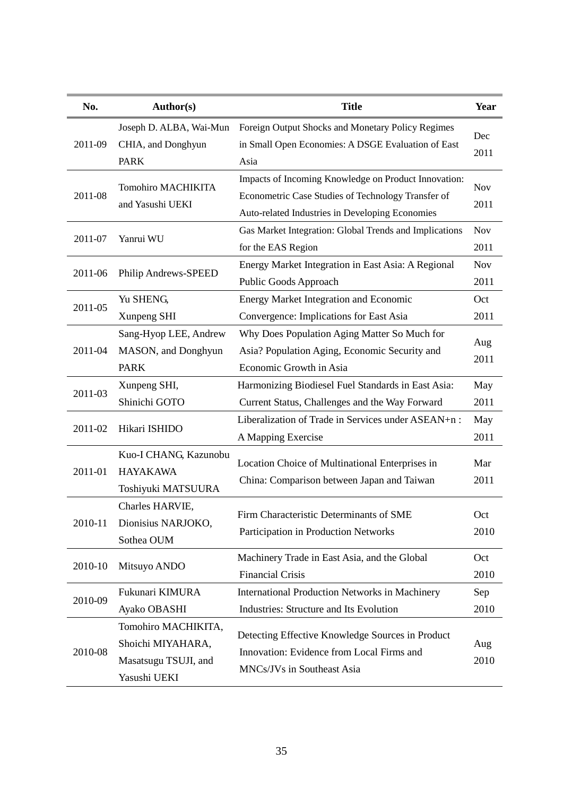| No.     | Author(s)                                     | <b>Title</b>                                                                                  | Year               |
|---------|-----------------------------------------------|-----------------------------------------------------------------------------------------------|--------------------|
| 2011-09 | Joseph D. ALBA, Wai-Mun                       | Foreign Output Shocks and Monetary Policy Regimes                                             |                    |
|         | CHIA, and Donghyun                            | in Small Open Economies: A DSGE Evaluation of East                                            | Dec<br>2011        |
|         | <b>PARK</b>                                   | Asia                                                                                          |                    |
| 2011-08 | <b>Tomohiro MACHIKITA</b><br>and Yasushi UEKI | Impacts of Incoming Knowledge on Product Innovation:                                          | <b>Nov</b><br>2011 |
|         |                                               | Econometric Case Studies of Technology Transfer of                                            |                    |
|         |                                               | Auto-related Industries in Developing Economies                                               |                    |
|         | Yanrui WU                                     | Gas Market Integration: Global Trends and Implications                                        | <b>Nov</b>         |
| 2011-07 |                                               | for the EAS Region                                                                            | 2011               |
|         | Philip Andrews-SPEED                          | Energy Market Integration in East Asia: A Regional                                            | <b>Nov</b>         |
| 2011-06 |                                               | Public Goods Approach                                                                         | 2011               |
|         | Yu SHENG,                                     | <b>Energy Market Integration and Economic</b>                                                 | Oct                |
| 2011-05 | Xunpeng SHI                                   | Convergence: Implications for East Asia                                                       | 2011               |
|         | Sang-Hyop LEE, Andrew                         | Why Does Population Aging Matter So Much for                                                  |                    |
| 2011-04 | MASON, and Donghyun                           | Asia? Population Aging, Economic Security and                                                 | Aug                |
|         | <b>PARK</b>                                   | Economic Growth in Asia                                                                       | 2011               |
|         | Xunpeng SHI,                                  | Harmonizing Biodiesel Fuel Standards in East Asia:                                            | May                |
| 2011-03 | Shinichi GOTO                                 | Current Status, Challenges and the Way Forward                                                | 2011               |
|         | Hikari ISHIDO                                 | Liberalization of Trade in Services under ASEAN+n:                                            | May                |
| 2011-02 |                                               | A Mapping Exercise                                                                            | 2011               |
|         | Kuo-I CHANG, Kazunobu                         | Location Choice of Multinational Enterprises in<br>China: Comparison between Japan and Taiwan |                    |
| 2011-01 | <b>HAYAKAWA</b>                               |                                                                                               | Mar                |
|         | Toshiyuki MATSUURA                            |                                                                                               | 2011               |
|         | Charles HARVIE,                               | Firm Characteristic Determinants of SME<br>Participation in Production Networks               |                    |
| 2010-11 | Dionisius NARJOKO,                            |                                                                                               | Oct                |
|         | Sothea OUM                                    |                                                                                               | 2010               |
|         | Mitsuyo ANDO                                  | Machinery Trade in East Asia, and the Global                                                  | Oct                |
| 2010-10 |                                               | <b>Financial Crisis</b>                                                                       | 2010               |
| 2010-09 | Fukunari KIMURA                               | <b>International Production Networks in Machinery</b>                                         | Sep                |
|         | Ayako OBASHI                                  | Industries: Structure and Its Evolution                                                       | 2010               |
| 2010-08 | Tomohiro MACHIKITA,                           |                                                                                               | Aug<br>2010        |
|         | Shoichi MIYAHARA,                             | Detecting Effective Knowledge Sources in Product<br>Innovation: Evidence from Local Firms and |                    |
|         | Masatsugu TSUJI, and                          | MNCs/JVs in Southeast Asia                                                                    |                    |
|         | Yasushi UEKI                                  |                                                                                               |                    |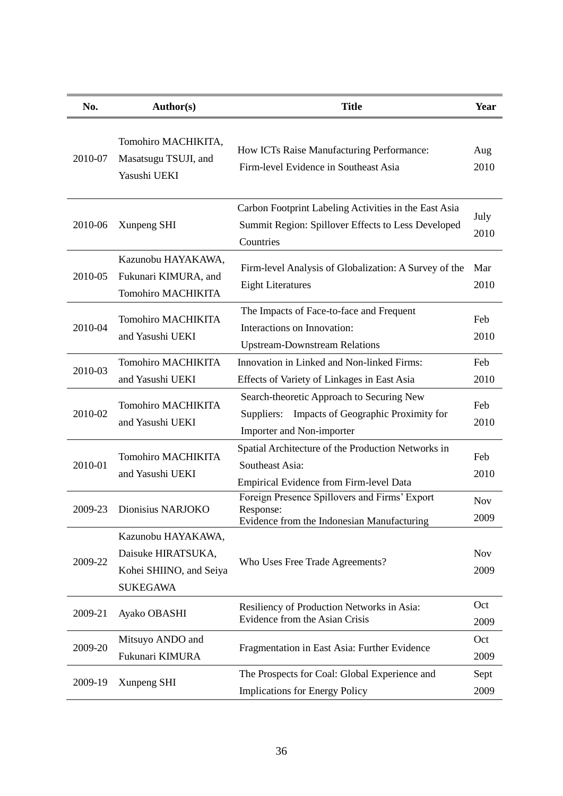| No.     | <b>Author(s)</b>                                                                       | <b>Title</b>                                                                                                             | Year               |
|---------|----------------------------------------------------------------------------------------|--------------------------------------------------------------------------------------------------------------------------|--------------------|
| 2010-07 | Tomohiro MACHIKITA,<br>Masatsugu TSUJI, and<br>Yasushi UEKI                            | How ICTs Raise Manufacturing Performance:<br>Firm-level Evidence in Southeast Asia                                       | Aug<br>2010        |
| 2010-06 | Xunpeng SHI                                                                            | Carbon Footprint Labeling Activities in the East Asia<br>Summit Region: Spillover Effects to Less Developed<br>Countries | July<br>2010       |
| 2010-05 | Kazunobu HAYAKAWA,<br>Fukunari KIMURA, and<br><b>Tomohiro MACHIKITA</b>                | Firm-level Analysis of Globalization: A Survey of the<br><b>Eight Literatures</b>                                        | Mar<br>2010        |
| 2010-04 | <b>Tomohiro MACHIKITA</b><br>and Yasushi UEKI                                          | The Impacts of Face-to-face and Frequent<br>Interactions on Innovation:<br><b>Upstream-Downstream Relations</b>          | Feb<br>2010        |
| 2010-03 | <b>Tomohiro MACHIKITA</b><br>and Yasushi UEKI                                          | Innovation in Linked and Non-linked Firms:<br>Effects of Variety of Linkages in East Asia                                | Feb<br>2010        |
| 2010-02 | <b>Tomohiro MACHIKITA</b><br>and Yasushi UEKI                                          | Search-theoretic Approach to Securing New<br>Suppliers: Impacts of Geographic Proximity for<br>Importer and Non-importer | Feb<br>2010        |
| 2010-01 | <b>Tomohiro MACHIKITA</b><br>and Yasushi UEKI                                          | Spatial Architecture of the Production Networks in<br>Southeast Asia:<br>Empirical Evidence from Firm-level Data         | Feb<br>2010        |
| 2009-23 | Dionisius NARJOKO                                                                      | Foreign Presence Spillovers and Firms' Export<br>Response:<br>Evidence from the Indonesian Manufacturing                 | <b>Nov</b><br>2009 |
| 2009-22 | Kazunobu HAYAKAWA,<br>Daisuke HIRATSUKA,<br>Kohei SHIINO, and Seiya<br><b>SUKEGAWA</b> | Who Uses Free Trade Agreements?                                                                                          | <b>Nov</b><br>2009 |
| 2009-21 | Ayako OBASHI                                                                           | Resiliency of Production Networks in Asia:<br>Evidence from the Asian Crisis                                             | Oct<br>2009        |
| 2009-20 | Mitsuyo ANDO and<br>Fukunari KIMURA                                                    | Fragmentation in East Asia: Further Evidence                                                                             | Oct<br>2009        |
| 2009-19 | Xunpeng SHI                                                                            | The Prospects for Coal: Global Experience and<br><b>Implications for Energy Policy</b>                                   | Sept<br>2009       |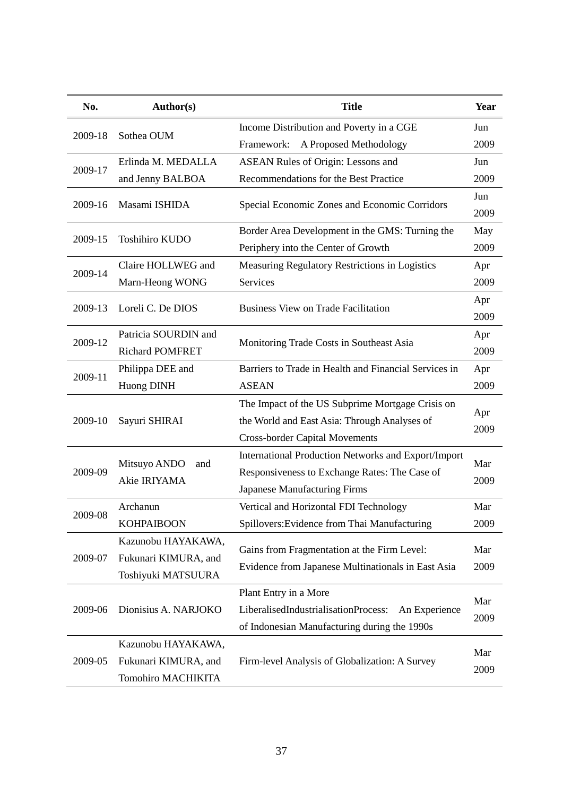| No.     | <b>Author(s)</b>                                                        | <b>Title</b>                                                                                                                              | Year        |
|---------|-------------------------------------------------------------------------|-------------------------------------------------------------------------------------------------------------------------------------------|-------------|
| 2009-18 | Sothea OUM                                                              | Income Distribution and Poverty in a CGE                                                                                                  | Jun         |
|         |                                                                         | A Proposed Methodology<br>Framework:                                                                                                      | 2009        |
| 2009-17 | Erlinda M. MEDALLA                                                      | <b>ASEAN Rules of Origin: Lessons and</b>                                                                                                 | Jun         |
|         | and Jenny BALBOA                                                        | Recommendations for the Best Practice                                                                                                     | 2009        |
| 2009-16 | Masami ISHIDA                                                           | Special Economic Zones and Economic Corridors                                                                                             | Jun<br>2009 |
| 2009-15 | Toshihiro KUDO                                                          | Border Area Development in the GMS: Turning the<br>Periphery into the Center of Growth                                                    | May<br>2009 |
|         | Claire HOLLWEG and                                                      | Measuring Regulatory Restrictions in Logistics                                                                                            | Apr         |
| 2009-14 | Marn-Heong WONG                                                         | Services                                                                                                                                  | 2009        |
| 2009-13 | Loreli C. De DIOS                                                       | <b>Business View on Trade Facilitation</b>                                                                                                | Apr<br>2009 |
| 2009-12 | Patricia SOURDIN and<br><b>Richard POMFRET</b>                          | Monitoring Trade Costs in Southeast Asia                                                                                                  | Apr<br>2009 |
| 2009-11 | Philippa DEE and<br>Huong DINH                                          | Barriers to Trade in Health and Financial Services in<br><b>ASEAN</b>                                                                     | Apr<br>2009 |
| 2009-10 | Sayuri SHIRAI                                                           | The Impact of the US Subprime Mortgage Crisis on<br>the World and East Asia: Through Analyses of<br><b>Cross-border Capital Movements</b> | Apr<br>2009 |
| 2009-09 | Mitsuyo ANDO<br>and<br>Akie IRIYAMA                                     | International Production Networks and Export/Import<br>Responsiveness to Exchange Rates: The Case of<br>Japanese Manufacturing Firms      | Mar<br>2009 |
| 2009-08 | Archanun<br><b>KOHPAIBOON</b>                                           | Vertical and Horizontal FDI Technology<br>Spillovers: Evidence from Thai Manufacturing                                                    | Mar<br>2009 |
| 2009-07 | Kazunobu HAYAKAWA,<br>Fukunari KIMURA, and<br>Toshiyuki MATSUURA        | Gains from Fragmentation at the Firm Level:<br>Evidence from Japanese Multinationals in East Asia                                         | Mar<br>2009 |
| 2009-06 | Dionisius A. NARJOKO                                                    | Plant Entry in a More<br>LiberalisedIndustrialisationProcess:<br>An Experience<br>of Indonesian Manufacturing during the 1990s            | Mar<br>2009 |
| 2009-05 | Kazunobu HAYAKAWA,<br>Fukunari KIMURA, and<br><b>Tomohiro MACHIKITA</b> | Firm-level Analysis of Globalization: A Survey                                                                                            | Mar<br>2009 |